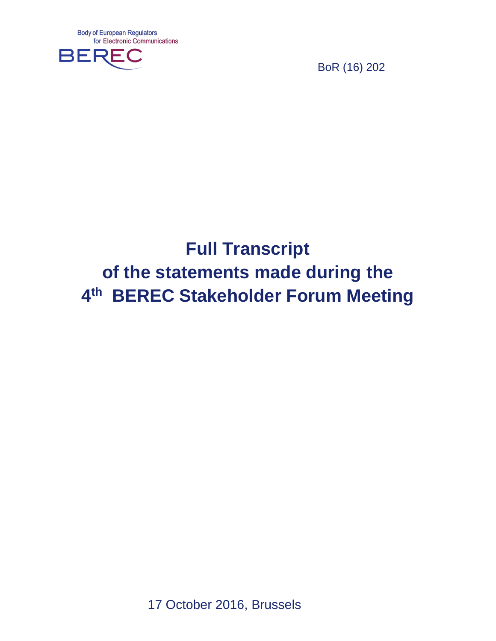

BoR (16) 202

# **Full Transcript of the statements made during the 4 th BEREC Stakeholder Forum Meeting**

17 October 2016, Brussels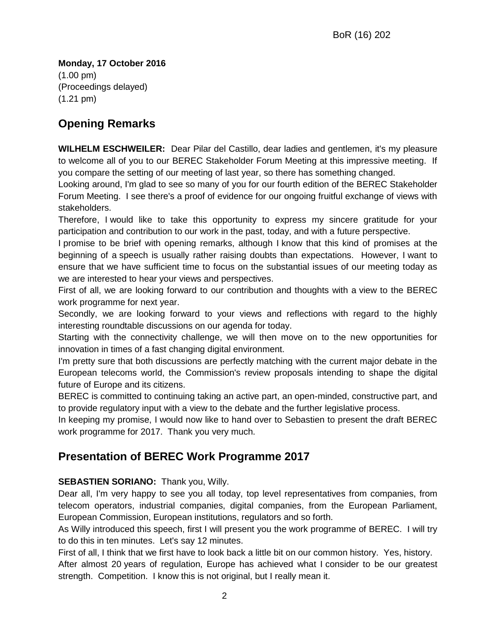**Monday, 17 October 2016** (1.00 pm) (Proceedings delayed) (1.21 pm)

# **Opening Remarks**

**WILHELM ESCHWEILER:** Dear Pilar del Castillo, dear ladies and gentlemen, it's my pleasure to welcome all of you to our BEREC Stakeholder Forum Meeting at this impressive meeting. If you compare the setting of our meeting of last year, so there has something changed.

Looking around, I'm glad to see so many of you for our fourth edition of the BEREC Stakeholder Forum Meeting. I see there's a proof of evidence for our ongoing fruitful exchange of views with stakeholders.

Therefore, I would like to take this opportunity to express my sincere gratitude for your participation and contribution to our work in the past, today, and with a future perspective.

I promise to be brief with opening remarks, although I know that this kind of promises at the beginning of a speech is usually rather raising doubts than expectations. However, I want to ensure that we have sufficient time to focus on the substantial issues of our meeting today as we are interested to hear your views and perspectives.

First of all, we are looking forward to our contribution and thoughts with a view to the BEREC work programme for next year.

Secondly, we are looking forward to your views and reflections with regard to the highly interesting roundtable discussions on our agenda for today.

Starting with the connectivity challenge, we will then move on to the new opportunities for innovation in times of a fast changing digital environment.

I'm pretty sure that both discussions are perfectly matching with the current major debate in the European telecoms world, the Commission's review proposals intending to shape the digital future of Europe and its citizens.

BEREC is committed to continuing taking an active part, an open-minded, constructive part, and to provide regulatory input with a view to the debate and the further legislative process.

In keeping my promise, I would now like to hand over to Sebastien to present the draft BEREC work programme for 2017. Thank you very much.

# **Presentation of BEREC Work Programme 2017**

### **SEBASTIEN SORIANO:** Thank you, Willy.

Dear all, I'm very happy to see you all today, top level representatives from companies, from telecom operators, industrial companies, digital companies, from the European Parliament, European Commission, European institutions, regulators and so forth.

As Willy introduced this speech, first I will present you the work programme of BEREC. I will try to do this in ten minutes. Let's say 12 minutes.

First of all, I think that we first have to look back a little bit on our common history. Yes, history. After almost 20 years of regulation, Europe has achieved what I consider to be our greatest strength. Competition. I know this is not original, but I really mean it.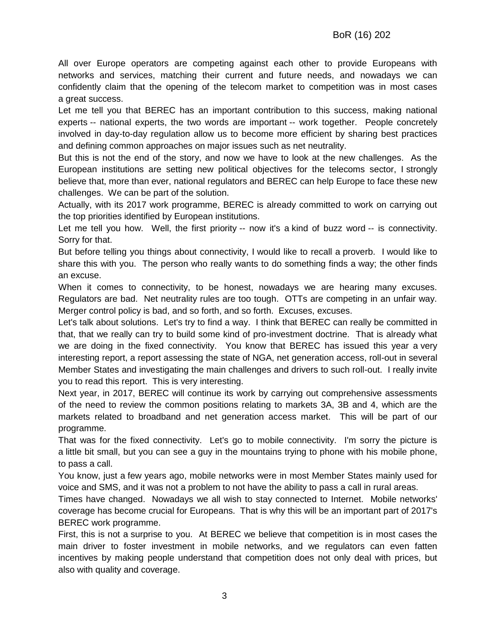All over Europe operators are competing against each other to provide Europeans with networks and services, matching their current and future needs, and nowadays we can confidently claim that the opening of the telecom market to competition was in most cases a great success.

Let me tell you that BEREC has an important contribution to this success, making national experts -- national experts, the two words are important -- work together. People concretely involved in day-to-day regulation allow us to become more efficient by sharing best practices and defining common approaches on major issues such as net neutrality.

But this is not the end of the story, and now we have to look at the new challenges. As the European institutions are setting new political objectives for the telecoms sector, I strongly believe that, more than ever, national regulators and BEREC can help Europe to face these new challenges. We can be part of the solution.

Actually, with its 2017 work programme, BEREC is already committed to work on carrying out the top priorities identified by European institutions.

Let me tell you how. Well, the first priority -- now it's a kind of buzz word -- is connectivity. Sorry for that.

But before telling you things about connectivity, I would like to recall a proverb. I would like to share this with you. The person who really wants to do something finds a way; the other finds an excuse.

When it comes to connectivity, to be honest, nowadays we are hearing many excuses. Regulators are bad. Net neutrality rules are too tough. OTTs are competing in an unfair way. Merger control policy is bad, and so forth, and so forth. Excuses, excuses.

Let's talk about solutions. Let's try to find a way. I think that BEREC can really be committed in that, that we really can try to build some kind of pro-investment doctrine. That is already what we are doing in the fixed connectivity. You know that BEREC has issued this year a very interesting report, a report assessing the state of NGA, net generation access, roll-out in several Member States and investigating the main challenges and drivers to such roll-out. I really invite you to read this report. This is very interesting.

Next year, in 2017, BEREC will continue its work by carrying out comprehensive assessments of the need to review the common positions relating to markets 3A, 3B and 4, which are the markets related to broadband and net generation access market. This will be part of our programme.

That was for the fixed connectivity. Let's go to mobile connectivity. I'm sorry the picture is a little bit small, but you can see a guy in the mountains trying to phone with his mobile phone, to pass a call.

You know, just a few years ago, mobile networks were in most Member States mainly used for voice and SMS, and it was not a problem to not have the ability to pass a call in rural areas.

Times have changed. Nowadays we all wish to stay connected to Internet. Mobile networks' coverage has become crucial for Europeans. That is why this will be an important part of 2017's BEREC work programme.

First, this is not a surprise to you. At BEREC we believe that competition is in most cases the main driver to foster investment in mobile networks, and we regulators can even fatten incentives by making people understand that competition does not only deal with prices, but also with quality and coverage.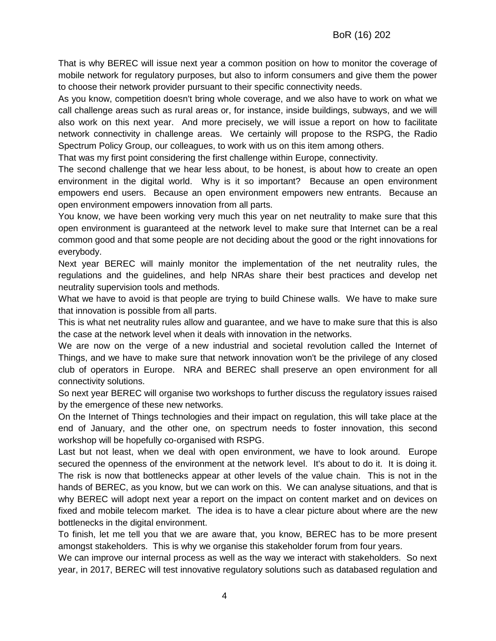That is why BEREC will issue next year a common position on how to monitor the coverage of mobile network for regulatory purposes, but also to inform consumers and give them the power to choose their network provider pursuant to their specific connectivity needs.

As you know, competition doesn't bring whole coverage, and we also have to work on what we call challenge areas such as rural areas or, for instance, inside buildings, subways, and we will also work on this next year. And more precisely, we will issue a report on how to facilitate network connectivity in challenge areas. We certainly will propose to the RSPG, the Radio Spectrum Policy Group, our colleagues, to work with us on this item among others.

That was my first point considering the first challenge within Europe, connectivity.

The second challenge that we hear less about, to be honest, is about how to create an open environment in the digital world. Why is it so important? Because an open environment empowers end users. Because an open environment empowers new entrants. Because an open environment empowers innovation from all parts.

You know, we have been working very much this year on net neutrality to make sure that this open environment is guaranteed at the network level to make sure that Internet can be a real common good and that some people are not deciding about the good or the right innovations for everybody.

Next year BEREC will mainly monitor the implementation of the net neutrality rules, the regulations and the guidelines, and help NRAs share their best practices and develop net neutrality supervision tools and methods.

What we have to avoid is that people are trying to build Chinese walls. We have to make sure that innovation is possible from all parts.

This is what net neutrality rules allow and guarantee, and we have to make sure that this is also the case at the network level when it deals with innovation in the networks.

We are now on the verge of a new industrial and societal revolution called the Internet of Things, and we have to make sure that network innovation won't be the privilege of any closed club of operators in Europe. NRA and BEREC shall preserve an open environment for all connectivity solutions.

So next year BEREC will organise two workshops to further discuss the regulatory issues raised by the emergence of these new networks.

On the Internet of Things technologies and their impact on regulation, this will take place at the end of January, and the other one, on spectrum needs to foster innovation, this second workshop will be hopefully co-organised with RSPG.

Last but not least, when we deal with open environment, we have to look around. Europe secured the openness of the environment at the network level. It's about to do it. It is doing it. The risk is now that bottlenecks appear at other levels of the value chain. This is not in the hands of BEREC, as you know, but we can work on this. We can analyse situations, and that is why BEREC will adopt next year a report on the impact on content market and on devices on fixed and mobile telecom market. The idea is to have a clear picture about where are the new bottlenecks in the digital environment.

To finish, let me tell you that we are aware that, you know, BEREC has to be more present amongst stakeholders. This is why we organise this stakeholder forum from four years.

We can improve our internal process as well as the way we interact with stakeholders. So next year, in 2017, BEREC will test innovative regulatory solutions such as databased regulation and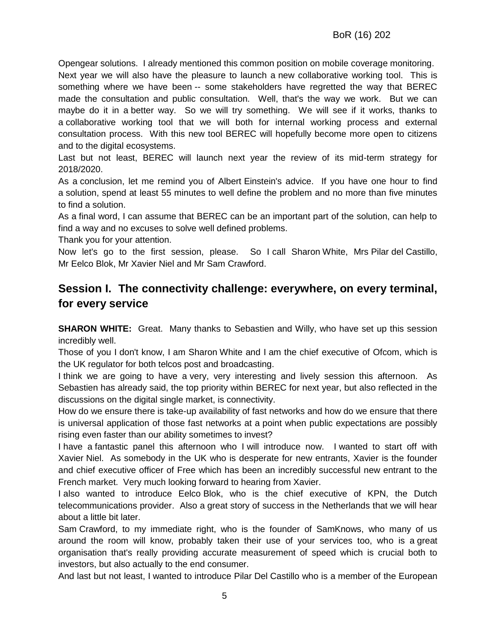Opengear solutions. I already mentioned this common position on mobile coverage monitoring. Next year we will also have the pleasure to launch a new collaborative working tool. This is something where we have been -- some stakeholders have regretted the way that BEREC made the consultation and public consultation. Well, that's the way we work. But we can maybe do it in a better way. So we will try something. We will see if it works, thanks to a collaborative working tool that we will both for internal working process and external consultation process. With this new tool BEREC will hopefully become more open to citizens and to the digital ecosystems.

Last but not least, BEREC will launch next year the review of its mid-term strategy for 2018/2020.

As a conclusion, let me remind you of Albert Einstein's advice. If you have one hour to find a solution, spend at least 55 minutes to well define the problem and no more than five minutes to find a solution.

As a final word, I can assume that BEREC can be an important part of the solution, can help to find a way and no excuses to solve well defined problems.

Thank you for your attention.

Now let's go to the first session, please. So I call Sharon White, Mrs Pilar del Castillo, Mr Eelco Blok, Mr Xavier Niel and Mr Sam Crawford.

# **Session I. The connectivity challenge: everywhere, on every terminal, for every service**

**SHARON WHITE:** Great. Many thanks to Sebastien and Willy, who have set up this session incredibly well.

Those of you I don't know, I am Sharon White and I am the chief executive of Ofcom, which is the UK regulator for both telcos post and broadcasting.

I think we are going to have a very, very interesting and lively session this afternoon. As Sebastien has already said, the top priority within BEREC for next year, but also reflected in the discussions on the digital single market, is connectivity.

How do we ensure there is take-up availability of fast networks and how do we ensure that there is universal application of those fast networks at a point when public expectations are possibly rising even faster than our ability sometimes to invest?

I have a fantastic panel this afternoon who I will introduce now. I wanted to start off with Xavier Niel. As somebody in the UK who is desperate for new entrants, Xavier is the founder and chief executive officer of Free which has been an incredibly successful new entrant to the French market. Very much looking forward to hearing from Xavier.

I also wanted to introduce Eelco Blok, who is the chief executive of KPN, the Dutch telecommunications provider. Also a great story of success in the Netherlands that we will hear about a little bit later.

Sam Crawford, to my immediate right, who is the founder of SamKnows, who many of us around the room will know, probably taken their use of your services too, who is a great organisation that's really providing accurate measurement of speed which is crucial both to investors, but also actually to the end consumer.

And last but not least, I wanted to introduce Pilar Del Castillo who is a member of the European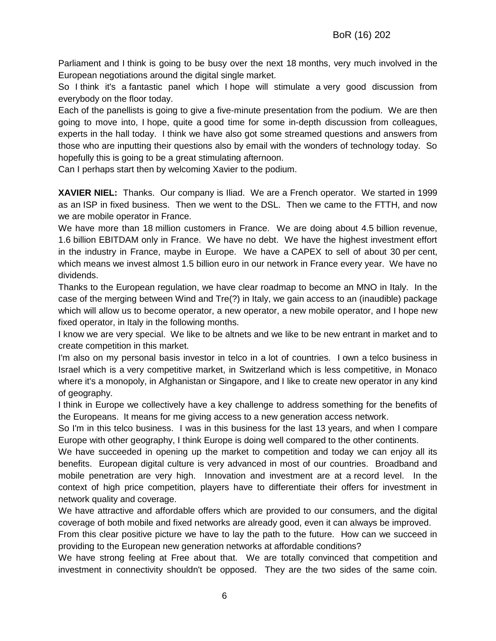Parliament and I think is going to be busy over the next 18 months, very much involved in the European negotiations around the digital single market.

So I think it's a fantastic panel which I hope will stimulate a very good discussion from everybody on the floor today.

Each of the panellists is going to give a five-minute presentation from the podium. We are then going to move into, I hope, quite a good time for some in-depth discussion from colleagues, experts in the hall today. I think we have also got some streamed questions and answers from those who are inputting their questions also by email with the wonders of technology today. So hopefully this is going to be a great stimulating afternoon.

Can I perhaps start then by welcoming Xavier to the podium.

**XAVIER NIEL:** Thanks. Our company is Iliad. We are a French operator. We started in 1999 as an ISP in fixed business. Then we went to the DSL. Then we came to the FTTH, and now we are mobile operator in France.

We have more than 18 million customers in France. We are doing about 4.5 billion revenue, 1.6 billion EBITDAM only in France. We have no debt. We have the highest investment effort in the industry in France, maybe in Europe. We have a CAPEX to sell of about 30 per cent, which means we invest almost 1.5 billion euro in our network in France every year. We have no dividends.

Thanks to the European regulation, we have clear roadmap to become an MNO in Italy. In the case of the merging between Wind and Tre(?) in Italy, we gain access to an (inaudible) package which will allow us to become operator, a new operator, a new mobile operator, and I hope new fixed operator, in Italy in the following months.

I know we are very special. We like to be altnets and we like to be new entrant in market and to create competition in this market.

I'm also on my personal basis investor in telco in a lot of countries. I own a telco business in Israel which is a very competitive market, in Switzerland which is less competitive, in Monaco where it's a monopoly, in Afghanistan or Singapore, and I like to create new operator in any kind of geography.

I think in Europe we collectively have a key challenge to address something for the benefits of the Europeans. It means for me giving access to a new generation access network.

So I'm in this telco business. I was in this business for the last 13 years, and when I compare Europe with other geography, I think Europe is doing well compared to the other continents.

We have succeeded in opening up the market to competition and today we can enjoy all its benefits. European digital culture is very advanced in most of our countries. Broadband and mobile penetration are very high. Innovation and investment are at a record level. In the context of high price competition, players have to differentiate their offers for investment in network quality and coverage.

We have attractive and affordable offers which are provided to our consumers, and the digital coverage of both mobile and fixed networks are already good, even it can always be improved.

From this clear positive picture we have to lay the path to the future. How can we succeed in providing to the European new generation networks at affordable conditions?

We have strong feeling at Free about that. We are totally convinced that competition and investment in connectivity shouldn't be opposed. They are the two sides of the same coin.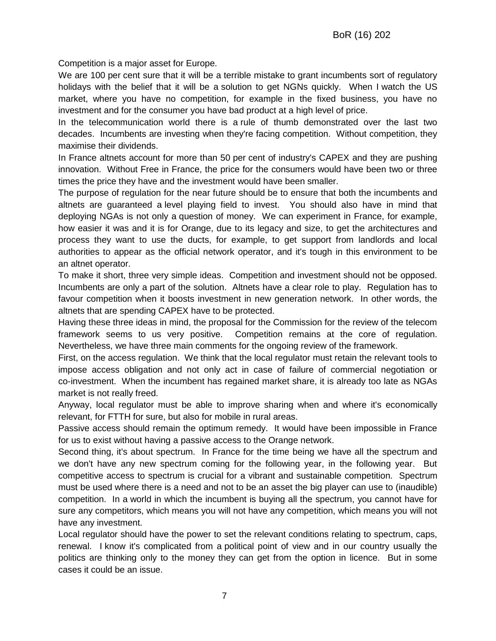Competition is a major asset for Europe.

We are 100 per cent sure that it will be a terrible mistake to grant incumbents sort of regulatory holidays with the belief that it will be a solution to get NGNs quickly. When I watch the US market, where you have no competition, for example in the fixed business, you have no investment and for the consumer you have bad product at a high level of price.

In the telecommunication world there is a rule of thumb demonstrated over the last two decades. Incumbents are investing when they're facing competition. Without competition, they maximise their dividends.

In France altnets account for more than 50 per cent of industry's CAPEX and they are pushing innovation. Without Free in France, the price for the consumers would have been two or three times the price they have and the investment would have been smaller.

The purpose of regulation for the near future should be to ensure that both the incumbents and altnets are guaranteed a level playing field to invest. You should also have in mind that deploying NGAs is not only a question of money. We can experiment in France, for example, how easier it was and it is for Orange, due to its legacy and size, to get the architectures and process they want to use the ducts, for example, to get support from landlords and local authorities to appear as the official network operator, and it's tough in this environment to be an altnet operator.

To make it short, three very simple ideas. Competition and investment should not be opposed. Incumbents are only a part of the solution. Altnets have a clear role to play. Regulation has to favour competition when it boosts investment in new generation network. In other words, the altnets that are spending CAPEX have to be protected.

Having these three ideas in mind, the proposal for the Commission for the review of the telecom framework seems to us very positive. Competition remains at the core of regulation. Nevertheless, we have three main comments for the ongoing review of the framework.

First, on the access regulation. We think that the local regulator must retain the relevant tools to impose access obligation and not only act in case of failure of commercial negotiation or co-investment. When the incumbent has regained market share, it is already too late as NGAs market is not really freed.

Anyway, local regulator must be able to improve sharing when and where it's economically relevant, for FTTH for sure, but also for mobile in rural areas.

Passive access should remain the optimum remedy. It would have been impossible in France for us to exist without having a passive access to the Orange network.

Second thing, it's about spectrum. In France for the time being we have all the spectrum and we don't have any new spectrum coming for the following year, in the following year. But competitive access to spectrum is crucial for a vibrant and sustainable competition. Spectrum must be used where there is a need and not to be an asset the big player can use to (inaudible) competition. In a world in which the incumbent is buying all the spectrum, you cannot have for sure any competitors, which means you will not have any competition, which means you will not have any investment.

Local regulator should have the power to set the relevant conditions relating to spectrum, caps, renewal. I know it's complicated from a political point of view and in our country usually the politics are thinking only to the money they can get from the option in licence. But in some cases it could be an issue.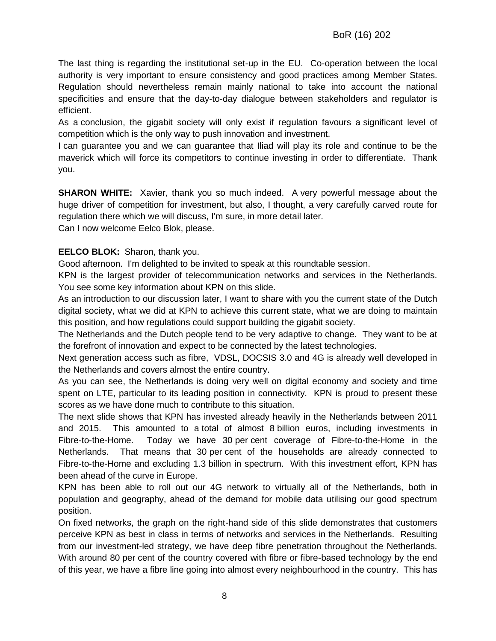The last thing is regarding the institutional set-up in the EU. Co-operation between the local authority is very important to ensure consistency and good practices among Member States. Regulation should nevertheless remain mainly national to take into account the national specificities and ensure that the day-to-day dialogue between stakeholders and regulator is efficient.

As a conclusion, the gigabit society will only exist if regulation favours a significant level of competition which is the only way to push innovation and investment.

I can guarantee you and we can guarantee that Iliad will play its role and continue to be the maverick which will force its competitors to continue investing in order to differentiate. Thank you.

**SHARON WHITE:** Xavier, thank you so much indeed. A very powerful message about the huge driver of competition for investment, but also, I thought, a very carefully carved route for regulation there which we will discuss, I'm sure, in more detail later.

Can I now welcome Eelco Blok, please.

#### **EELCO BLOK:** Sharon, thank you.

Good afternoon. I'm delighted to be invited to speak at this roundtable session.

KPN is the largest provider of telecommunication networks and services in the Netherlands. You see some key information about KPN on this slide.

As an introduction to our discussion later, I want to share with you the current state of the Dutch digital society, what we did at KPN to achieve this current state, what we are doing to maintain this position, and how regulations could support building the gigabit society.

The Netherlands and the Dutch people tend to be very adaptive to change. They want to be at the forefront of innovation and expect to be connected by the latest technologies.

Next generation access such as fibre, VDSL, DOCSIS 3.0 and 4G is already well developed in the Netherlands and covers almost the entire country.

As you can see, the Netherlands is doing very well on digital economy and society and time spent on LTE, particular to its leading position in connectivity. KPN is proud to present these scores as we have done much to contribute to this situation.

The next slide shows that KPN has invested already heavily in the Netherlands between 2011 and 2015. This amounted to a total of almost 8 billion euros, including investments in Fibre-to-the-Home. Today we have 30 per cent coverage of Fibre-to-the-Home in the Netherlands. That means that 30 per cent of the households are already connected to Fibre-to-the-Home and excluding 1.3 billion in spectrum. With this investment effort, KPN has been ahead of the curve in Europe.

KPN has been able to roll out our 4G network to virtually all of the Netherlands, both in population and geography, ahead of the demand for mobile data utilising our good spectrum position.

On fixed networks, the graph on the right-hand side of this slide demonstrates that customers perceive KPN as best in class in terms of networks and services in the Netherlands. Resulting from our investment-led strategy, we have deep fibre penetration throughout the Netherlands. With around 80 per cent of the country covered with fibre or fibre-based technology by the end of this year, we have a fibre line going into almost every neighbourhood in the country. This has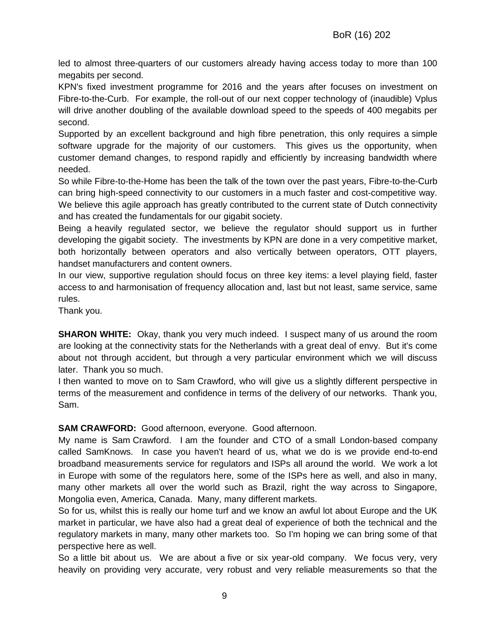led to almost three-quarters of our customers already having access today to more than 100 megabits per second.

KPN's fixed investment programme for 2016 and the years after focuses on investment on Fibre-to-the-Curb. For example, the roll-out of our next copper technology of (inaudible) Vplus will drive another doubling of the available download speed to the speeds of 400 megabits per second.

Supported by an excellent background and high fibre penetration, this only requires a simple software upgrade for the majority of our customers. This gives us the opportunity, when customer demand changes, to respond rapidly and efficiently by increasing bandwidth where needed.

So while Fibre-to-the-Home has been the talk of the town over the past years, Fibre-to-the-Curb can bring high-speed connectivity to our customers in a much faster and cost-competitive way. We believe this agile approach has greatly contributed to the current state of Dutch connectivity and has created the fundamentals for our gigabit society.

Being a heavily regulated sector, we believe the regulator should support us in further developing the gigabit society. The investments by KPN are done in a very competitive market, both horizontally between operators and also vertically between operators, OTT players, handset manufacturers and content owners.

In our view, supportive regulation should focus on three key items: a level playing field, faster access to and harmonisation of frequency allocation and, last but not least, same service, same rules.

Thank you.

**SHARON WHITE:** Okay, thank you very much indeed. I suspect many of us around the room are looking at the connectivity stats for the Netherlands with a great deal of envy. But it's come about not through accident, but through a very particular environment which we will discuss later. Thank you so much.

I then wanted to move on to Sam Crawford, who will give us a slightly different perspective in terms of the measurement and confidence in terms of the delivery of our networks. Thank you, Sam.

#### **SAM CRAWFORD:** Good afternoon, everyone. Good afternoon.

My name is Sam Crawford. I am the founder and CTO of a small London-based company called SamKnows. In case you haven't heard of us, what we do is we provide end-to-end broadband measurements service for regulators and ISPs all around the world. We work a lot in Europe with some of the regulators here, some of the ISPs here as well, and also in many, many other markets all over the world such as Brazil, right the way across to Singapore, Mongolia even, America, Canada. Many, many different markets.

So for us, whilst this is really our home turf and we know an awful lot about Europe and the UK market in particular, we have also had a great deal of experience of both the technical and the regulatory markets in many, many other markets too. So I'm hoping we can bring some of that perspective here as well.

So a little bit about us. We are about a five or six year-old company. We focus very, very heavily on providing very accurate, very robust and very reliable measurements so that the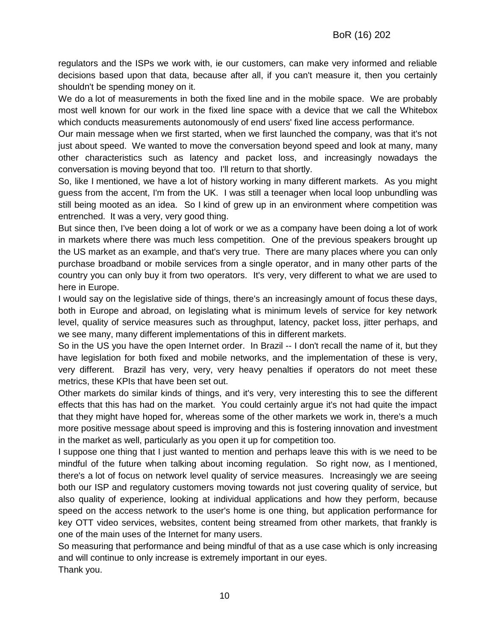regulators and the ISPs we work with, ie our customers, can make very informed and reliable decisions based upon that data, because after all, if you can't measure it, then you certainly shouldn't be spending money on it.

We do a lot of measurements in both the fixed line and in the mobile space. We are probably most well known for our work in the fixed line space with a device that we call the Whitebox which conducts measurements autonomously of end users' fixed line access performance.

Our main message when we first started, when we first launched the company, was that it's not just about speed. We wanted to move the conversation beyond speed and look at many, many other characteristics such as latency and packet loss, and increasingly nowadays the conversation is moving beyond that too. I'll return to that shortly.

So, like I mentioned, we have a lot of history working in many different markets. As you might guess from the accent, I'm from the UK. I was still a teenager when local loop unbundling was still being mooted as an idea. So I kind of grew up in an environment where competition was entrenched. It was a very, very good thing.

But since then, I've been doing a lot of work or we as a company have been doing a lot of work in markets where there was much less competition. One of the previous speakers brought up the US market as an example, and that's very true. There are many places where you can only purchase broadband or mobile services from a single operator, and in many other parts of the country you can only buy it from two operators. It's very, very different to what we are used to here in Europe.

I would say on the legislative side of things, there's an increasingly amount of focus these days, both in Europe and abroad, on legislating what is minimum levels of service for key network level, quality of service measures such as throughput, latency, packet loss, jitter perhaps, and we see many, many different implementations of this in different markets.

So in the US you have the open Internet order. In Brazil -- I don't recall the name of it, but they have legislation for both fixed and mobile networks, and the implementation of these is very, very different. Brazil has very, very, very heavy penalties if operators do not meet these metrics, these KPIs that have been set out.

Other markets do similar kinds of things, and it's very, very interesting this to see the different effects that this has had on the market. You could certainly argue it's not had quite the impact that they might have hoped for, whereas some of the other markets we work in, there's a much more positive message about speed is improving and this is fostering innovation and investment in the market as well, particularly as you open it up for competition too.

I suppose one thing that I just wanted to mention and perhaps leave this with is we need to be mindful of the future when talking about incoming regulation. So right now, as I mentioned, there's a lot of focus on network level quality of service measures. Increasingly we are seeing both our ISP and regulatory customers moving towards not just covering quality of service, but also quality of experience, looking at individual applications and how they perform, because speed on the access network to the user's home is one thing, but application performance for key OTT video services, websites, content being streamed from other markets, that frankly is one of the main uses of the Internet for many users.

So measuring that performance and being mindful of that as a use case which is only increasing and will continue to only increase is extremely important in our eyes. Thank you.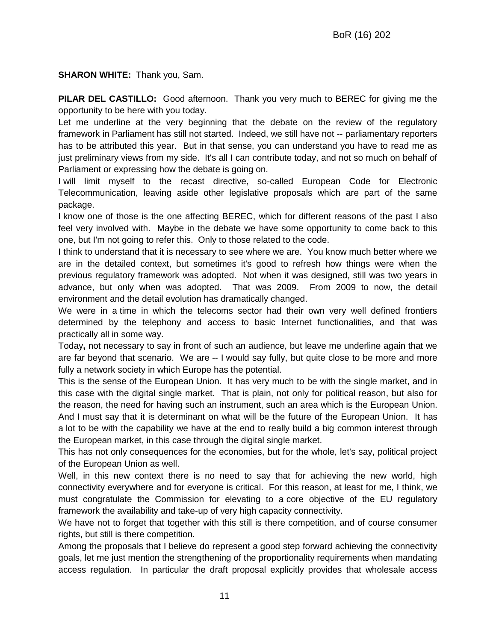**SHARON WHITE:** Thank you, Sam.

**PILAR DEL CASTILLO:** Good afternoon. Thank you very much to BEREC for giving me the opportunity to be here with you today.

Let me underline at the very beginning that the debate on the review of the regulatory framework in Parliament has still not started. Indeed, we still have not -- parliamentary reporters has to be attributed this year. But in that sense, you can understand you have to read me as just preliminary views from my side. It's all I can contribute today, and not so much on behalf of Parliament or expressing how the debate is going on.

I will limit myself to the recast directive, so-called European Code for Electronic Telecommunication, leaving aside other legislative proposals which are part of the same package.

I know one of those is the one affecting BEREC, which for different reasons of the past I also feel very involved with. Maybe in the debate we have some opportunity to come back to this one, but I'm not going to refer this. Only to those related to the code.

I think to understand that it is necessary to see where we are. You know much better where we are in the detailed context, but sometimes it's good to refresh how things were when the previous regulatory framework was adopted. Not when it was designed, still was two years in advance, but only when was adopted. That was 2009. From 2009 to now, the detail environment and the detail evolution has dramatically changed.

We were in a time in which the telecoms sector had their own very well defined frontiers determined by the telephony and access to basic Internet functionalities, and that was practically all in some way.

Today**,** not necessary to say in front of such an audience, but leave me underline again that we are far beyond that scenario. We are -- I would say fully, but quite close to be more and more fully a network society in which Europe has the potential.

This is the sense of the European Union. It has very much to be with the single market, and in this case with the digital single market. That is plain, not only for political reason, but also for the reason, the need for having such an instrument, such an area which is the European Union. And I must say that it is determinant on what will be the future of the European Union. It has a lot to be with the capability we have at the end to really build a big common interest through the European market, in this case through the digital single market.

This has not only consequences for the economies, but for the whole, let's say, political project of the European Union as well.

Well, in this new context there is no need to say that for achieving the new world, high connectivity everywhere and for everyone is critical. For this reason, at least for me, I think, we must congratulate the Commission for elevating to a core objective of the EU regulatory framework the availability and take-up of very high capacity connectivity.

We have not to forget that together with this still is there competition, and of course consumer rights, but still is there competition.

Among the proposals that I believe do represent a good step forward achieving the connectivity goals, let me just mention the strengthening of the proportionality requirements when mandating access regulation. In particular the draft proposal explicitly provides that wholesale access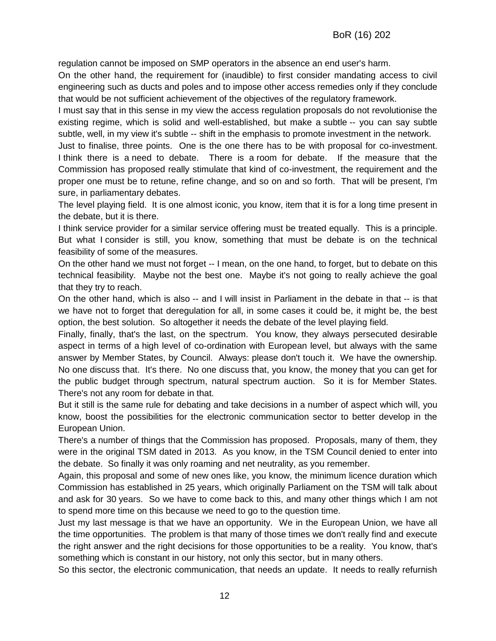regulation cannot be imposed on SMP operators in the absence an end user's harm.

On the other hand, the requirement for (inaudible) to first consider mandating access to civil engineering such as ducts and poles and to impose other access remedies only if they conclude that would be not sufficient achievement of the objectives of the regulatory framework.

I must say that in this sense in my view the access regulation proposals do not revolutionise the existing regime, which is solid and well-established, but make a subtle -- you can say subtle subtle, well, in my view it's subtle -- shift in the emphasis to promote investment in the network.

Just to finalise, three points. One is the one there has to be with proposal for co-investment. I think there is a need to debate. There is a room for debate. If the measure that the Commission has proposed really stimulate that kind of co-investment, the requirement and the proper one must be to retune, refine change, and so on and so forth. That will be present, I'm sure, in parliamentary debates.

The level playing field. It is one almost iconic, you know, item that it is for a long time present in the debate, but it is there.

I think service provider for a similar service offering must be treated equally. This is a principle. But what I consider is still, you know, something that must be debate is on the technical feasibility of some of the measures.

On the other hand we must not forget -- I mean, on the one hand, to forget, but to debate on this technical feasibility. Maybe not the best one. Maybe it's not going to really achieve the goal that they try to reach.

On the other hand, which is also -- and I will insist in Parliament in the debate in that -- is that we have not to forget that deregulation for all, in some cases it could be, it might be, the best option, the best solution. So altogether it needs the debate of the level playing field.

Finally, finally, that's the last, on the spectrum. You know, they always persecuted desirable aspect in terms of a high level of co-ordination with European level, but always with the same answer by Member States, by Council. Always: please don't touch it. We have the ownership. No one discuss that. It's there. No one discuss that, you know, the money that you can get for the public budget through spectrum, natural spectrum auction. So it is for Member States. There's not any room for debate in that.

But it still is the same rule for debating and take decisions in a number of aspect which will, you know, boost the possibilities for the electronic communication sector to better develop in the European Union.

There's a number of things that the Commission has proposed. Proposals, many of them, they were in the original TSM dated in 2013. As you know, in the TSM Council denied to enter into the debate. So finally it was only roaming and net neutrality, as you remember.

Again, this proposal and some of new ones like, you know, the minimum licence duration which Commission has established in 25 years, which originally Parliament on the TSM will talk about and ask for 30 years. So we have to come back to this, and many other things which I am not to spend more time on this because we need to go to the question time.

Just my last message is that we have an opportunity. We in the European Union, we have all the time opportunities. The problem is that many of those times we don't really find and execute the right answer and the right decisions for those opportunities to be a reality. You know, that's something which is constant in our history, not only this sector, but in many others.

So this sector, the electronic communication, that needs an update. It needs to really refurnish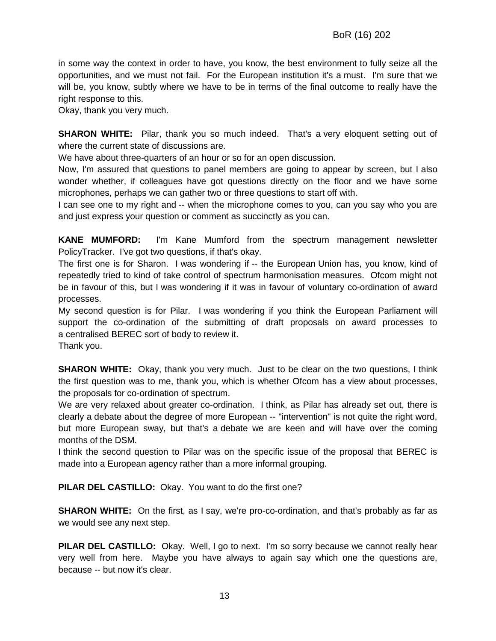in some way the context in order to have, you know, the best environment to fully seize all the opportunities, and we must not fail. For the European institution it's a must. I'm sure that we will be, you know, subtly where we have to be in terms of the final outcome to really have the right response to this.

Okay, thank you very much.

**SHARON WHITE:** Pilar, thank you so much indeed. That's a very eloquent setting out of where the current state of discussions are.

We have about three-quarters of an hour or so for an open discussion.

Now, I'm assured that questions to panel members are going to appear by screen, but I also wonder whether, if colleagues have got questions directly on the floor and we have some microphones, perhaps we can gather two or three questions to start off with.

I can see one to my right and -- when the microphone comes to you, can you say who you are and just express your question or comment as succinctly as you can.

**KANE MUMFORD:** I'm Kane Mumford from the spectrum management newsletter PolicyTracker. I've got two questions, if that's okay.

The first one is for Sharon. I was wondering if -- the European Union has, you know, kind of repeatedly tried to kind of take control of spectrum harmonisation measures. Ofcom might not be in favour of this, but I was wondering if it was in favour of voluntary co-ordination of award processes.

My second question is for Pilar. I was wondering if you think the European Parliament will support the co-ordination of the submitting of draft proposals on award processes to a centralised BEREC sort of body to review it.

Thank you.

**SHARON WHITE:** Okay, thank you very much. Just to be clear on the two questions, I think the first question was to me, thank you, which is whether Ofcom has a view about processes, the proposals for co-ordination of spectrum.

We are very relaxed about greater co-ordination. I think, as Pilar has already set out, there is clearly a debate about the degree of more European -- "intervention" is not quite the right word, but more European sway, but that's a debate we are keen and will have over the coming months of the DSM.

I think the second question to Pilar was on the specific issue of the proposal that BEREC is made into a European agency rather than a more informal grouping.

**PILAR DEL CASTILLO:** Okay. You want to do the first one?

**SHARON WHITE:** On the first, as I say, we're pro-co-ordination, and that's probably as far as we would see any next step.

**PILAR DEL CASTILLO:** Okay. Well, I go to next. I'm so sorry because we cannot really hear very well from here. Maybe you have always to again say which one the questions are, because -- but now it's clear.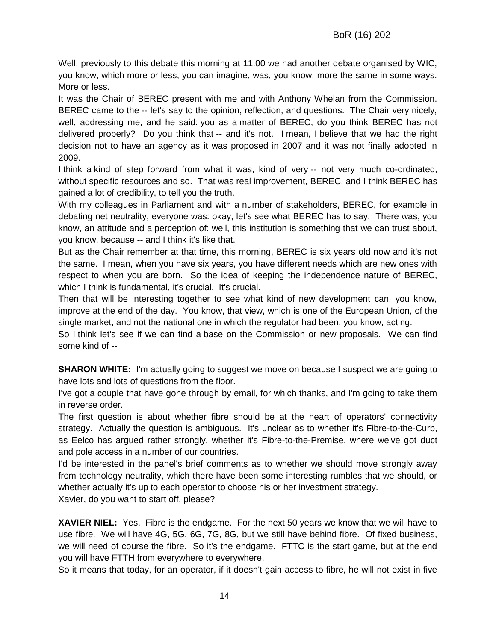Well, previously to this debate this morning at 11.00 we had another debate organised by WIC, you know, which more or less, you can imagine, was, you know, more the same in some ways. More or less.

It was the Chair of BEREC present with me and with Anthony Whelan from the Commission. BEREC came to the -- let's say to the opinion, reflection, and questions. The Chair very nicely, well, addressing me, and he said: you as a matter of BEREC, do you think BEREC has not delivered properly? Do you think that -- and it's not. I mean, I believe that we had the right decision not to have an agency as it was proposed in 2007 and it was not finally adopted in 2009.

I think a kind of step forward from what it was, kind of very -- not very much co-ordinated, without specific resources and so. That was real improvement, BEREC, and I think BEREC has gained a lot of credibility, to tell you the truth.

With my colleagues in Parliament and with a number of stakeholders, BEREC, for example in debating net neutrality, everyone was: okay, let's see what BEREC has to say. There was, you know, an attitude and a perception of: well, this institution is something that we can trust about, you know, because -- and I think it's like that.

But as the Chair remember at that time, this morning, BEREC is six years old now and it's not the same. I mean, when you have six years, you have different needs which are new ones with respect to when you are born. So the idea of keeping the independence nature of BEREC, which I think is fundamental, it's crucial. It's crucial.

Then that will be interesting together to see what kind of new development can, you know, improve at the end of the day. You know, that view, which is one of the European Union, of the single market, and not the national one in which the regulator had been, you know, acting.

So I think let's see if we can find a base on the Commission or new proposals. We can find some kind of --

**SHARON WHITE:** I'm actually going to suggest we move on because I suspect we are going to have lots and lots of questions from the floor.

I've got a couple that have gone through by email, for which thanks, and I'm going to take them in reverse order.

The first question is about whether fibre should be at the heart of operators' connectivity strategy. Actually the question is ambiguous. It's unclear as to whether it's Fibre-to-the-Curb, as Eelco has argued rather strongly, whether it's Fibre-to-the-Premise, where we've got duct and pole access in a number of our countries.

I'd be interested in the panel's brief comments as to whether we should move strongly away from technology neutrality, which there have been some interesting rumbles that we should, or whether actually it's up to each operator to choose his or her investment strategy. Xavier, do you want to start off, please?

**XAVIER NIEL:** Yes. Fibre is the endgame. For the next 50 years we know that we will have to use fibre. We will have 4G, 5G, 6G, 7G, 8G, but we still have behind fibre. Of fixed business, we will need of course the fibre. So it's the endgame. FTTC is the start game, but at the end you will have FTTH from everywhere to everywhere.

So it means that today, for an operator, if it doesn't gain access to fibre, he will not exist in five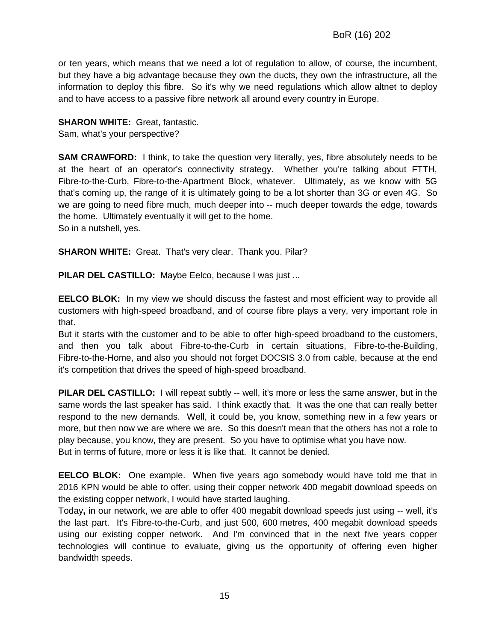or ten years, which means that we need a lot of regulation to allow, of course, the incumbent, but they have a big advantage because they own the ducts, they own the infrastructure, all the information to deploy this fibre. So it's why we need regulations which allow altnet to deploy and to have access to a passive fibre network all around every country in Europe.

#### **SHARON WHITE:** Great, fantastic.

Sam, what's your perspective?

**SAM CRAWFORD:** I think, to take the question very literally, yes, fibre absolutely needs to be at the heart of an operator's connectivity strategy. Whether you're talking about FTTH, Fibre-to-the-Curb, Fibre-to-the-Apartment Block, whatever. Ultimately, as we know with 5G that's coming up, the range of it is ultimately going to be a lot shorter than 3G or even 4G. So we are going to need fibre much, much deeper into -- much deeper towards the edge, towards the home. Ultimately eventually it will get to the home. So in a nutshell, yes.

**SHARON WHITE:** Great. That's very clear. Thank you. Pilar?

**PILAR DEL CASTILLO:** Maybe Eelco, because I was just ...

**EELCO BLOK:** In my view we should discuss the fastest and most efficient way to provide all customers with high-speed broadband, and of course fibre plays a very, very important role in that.

But it starts with the customer and to be able to offer high-speed broadband to the customers, and then you talk about Fibre-to-the-Curb in certain situations, Fibre-to-the-Building, Fibre-to-the-Home, and also you should not forget DOCSIS 3.0 from cable, because at the end it's competition that drives the speed of high-speed broadband.

**PILAR DEL CASTILLO:** I will repeat subtly -- well, it's more or less the same answer, but in the same words the last speaker has said. I think exactly that. It was the one that can really better respond to the new demands. Well, it could be, you know, something new in a few years or more, but then now we are where we are. So this doesn't mean that the others has not a role to play because, you know, they are present. So you have to optimise what you have now. But in terms of future, more or less it is like that. It cannot be denied.

**EELCO BLOK:** One example. When five years ago somebody would have told me that in 2016 KPN would be able to offer, using their copper network 400 megabit download speeds on the existing copper network, I would have started laughing.

Today**,** in our network, we are able to offer 400 megabit download speeds just using -- well, it's the last part. It's Fibre-to-the-Curb, and just 500, 600 metres, 400 megabit download speeds using our existing copper network. And I'm convinced that in the next five years copper technologies will continue to evaluate, giving us the opportunity of offering even higher bandwidth speeds.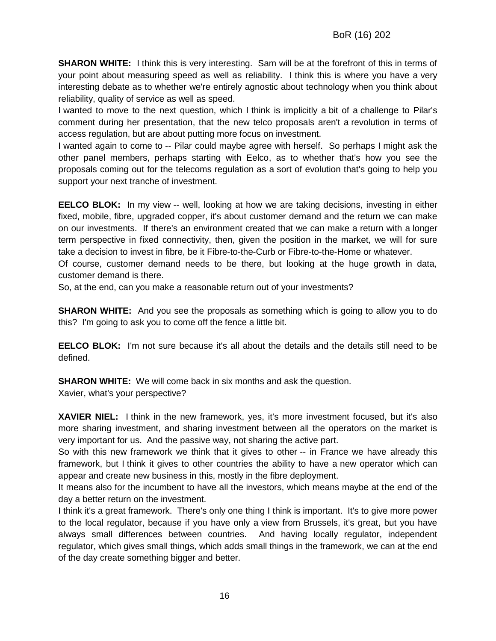**SHARON WHITE:** I think this is very interesting. Sam will be at the forefront of this in terms of your point about measuring speed as well as reliability. I think this is where you have a very interesting debate as to whether we're entirely agnostic about technology when you think about reliability, quality of service as well as speed.

I wanted to move to the next question, which I think is implicitly a bit of a challenge to Pilar's comment during her presentation, that the new telco proposals aren't a revolution in terms of access regulation, but are about putting more focus on investment.

I wanted again to come to -- Pilar could maybe agree with herself. So perhaps I might ask the other panel members, perhaps starting with Eelco, as to whether that's how you see the proposals coming out for the telecoms regulation as a sort of evolution that's going to help you support your next tranche of investment.

**EELCO BLOK:** In my view -- well, looking at how we are taking decisions, investing in either fixed, mobile, fibre, upgraded copper, it's about customer demand and the return we can make on our investments. If there's an environment created that we can make a return with a longer term perspective in fixed connectivity, then, given the position in the market, we will for sure take a decision to invest in fibre, be it Fibre-to-the-Curb or Fibre-to-the-Home or whatever.

Of course, customer demand needs to be there, but looking at the huge growth in data, customer demand is there.

So, at the end, can you make a reasonable return out of your investments?

**SHARON WHITE:** And you see the proposals as something which is going to allow you to do this? I'm going to ask you to come off the fence a little bit.

**EELCO BLOK:** I'm not sure because it's all about the details and the details still need to be defined.

**SHARON WHITE:** We will come back in six months and ask the question.

Xavier, what's your perspective?

**XAVIER NIEL:** I think in the new framework, yes, it's more investment focused, but it's also more sharing investment, and sharing investment between all the operators on the market is very important for us. And the passive way, not sharing the active part.

So with this new framework we think that it gives to other -- in France we have already this framework, but I think it gives to other countries the ability to have a new operator which can appear and create new business in this, mostly in the fibre deployment.

It means also for the incumbent to have all the investors, which means maybe at the end of the day a better return on the investment.

I think it's a great framework. There's only one thing I think is important. It's to give more power to the local regulator, because if you have only a view from Brussels, it's great, but you have always small differences between countries. And having locally regulator, independent regulator, which gives small things, which adds small things in the framework, we can at the end of the day create something bigger and better.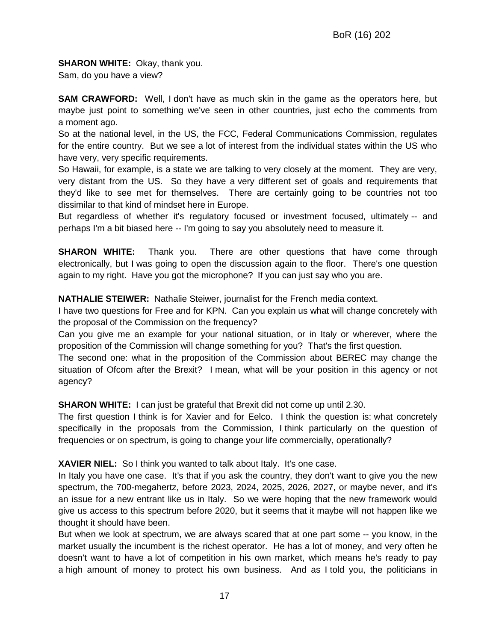## **SHARON WHITE: Okay, thank you.**

Sam, do you have a view?

**SAM CRAWFORD:** Well, I don't have as much skin in the game as the operators here, but maybe just point to something we've seen in other countries, just echo the comments from a moment ago.

So at the national level, in the US, the FCC, Federal Communications Commission, regulates for the entire country. But we see a lot of interest from the individual states within the US who have very, very specific requirements.

So Hawaii, for example, is a state we are talking to very closely at the moment. They are very, very distant from the US. So they have a very different set of goals and requirements that they'd like to see met for themselves. There are certainly going to be countries not too dissimilar to that kind of mindset here in Europe.

But regardless of whether it's regulatory focused or investment focused, ultimately -- and perhaps I'm a bit biased here -- I'm going to say you absolutely need to measure it.

**SHARON WHITE:** Thank you. There are other questions that have come through electronically, but I was going to open the discussion again to the floor. There's one question again to my right. Have you got the microphone? If you can just say who you are.

**NATHALIE STEIWER:** Nathalie Steiwer, journalist for the French media context.

I have two questions for Free and for KPN. Can you explain us what will change concretely with the proposal of the Commission on the frequency?

Can you give me an example for your national situation, or in Italy or wherever, where the proposition of the Commission will change something for you? That's the first question.

The second one: what in the proposition of the Commission about BEREC may change the situation of Ofcom after the Brexit? I mean, what will be your position in this agency or not agency?

**SHARON WHITE:** I can just be grateful that Brexit did not come up until 2.30.

The first question I think is for Xavier and for Eelco. I think the question is: what concretely specifically in the proposals from the Commission, I think particularly on the question of frequencies or on spectrum, is going to change your life commercially, operationally?

**XAVIER NIEL:** So I think you wanted to talk about Italy. It's one case.

In Italy you have one case. It's that if you ask the country, they don't want to give you the new spectrum, the 700-megahertz, before 2023, 2024, 2025, 2026, 2027, or maybe never, and it's an issue for a new entrant like us in Italy. So we were hoping that the new framework would give us access to this spectrum before 2020, but it seems that it maybe will not happen like we thought it should have been.

But when we look at spectrum, we are always scared that at one part some -- you know, in the market usually the incumbent is the richest operator. He has a lot of money, and very often he doesn't want to have a lot of competition in his own market, which means he's ready to pay a high amount of money to protect his own business. And as I told you, the politicians in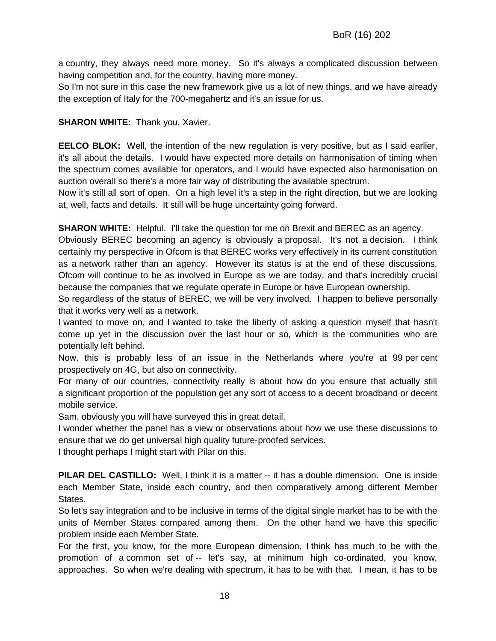a country, they always need more money. So it's always a complicated discussion between having competition and, for the country, having more money.

So I'm not sure in this case the new framework give us a lot of new things, and we have already the exception of Italy for the 700-megahertz and it's an issue for us.

#### **SHARON WHITE:** Thank you, Xavier.

**EELCO BLOK:** Well, the intention of the new regulation is very positive, but as I said earlier, it's all about the details. I would have expected more details on harmonisation of timing when the spectrum comes available for operators, and I would have expected also harmonisation on auction overall so there's a more fair way of distributing the available spectrum.

Now it's still all sort of open. On a high level it's a step in the right direction, but we are looking at, well, facts and details. It still will be huge uncertainty going forward.

**SHARON WHITE:** Helpful. I'll take the question for me on Brexit and BEREC as an agency.

Obviously BEREC becoming an agency is obviously a proposal. It's not a decision. I think certainly my perspective in Ofcom is that BEREC works very effectively in its current constitution as a network rather than an agency. However its status is at the end of these discussions, Ofcom will continue to be as involved in Europe as we are today, and that's incredibly crucial because the companies that we regulate operate in Europe or have European ownership.

So regardless of the status of BEREC, we will be very involved. I happen to believe personally that it works very well as a network.

I wanted to move on, and I wanted to take the liberty of asking a question myself that hasn't come up yet in the discussion over the last hour or so, which is the communities who are potentially left behind.

Now, this is probably less of an issue in the Netherlands where you're at 99 per cent prospectively on 4G, but also on connectivity.

For many of our countries, connectivity really is about how do you ensure that actually still a significant proportion of the population get any sort of access to a decent broadband or decent mobile service.

Sam, obviously you will have surveyed this in great detail.

I wonder whether the panel has a view or observations about how we use these discussions to ensure that we do get universal high quality future-proofed services.

I thought perhaps I might start with Pilar on this.

**PILAR DEL CASTILLO:** Well, I think it is a matter -- it has a double dimension. One is inside each Member State, inside each country, and then comparatively among different Member States.

So let's say integration and to be inclusive in terms of the digital single market has to be with the units of Member States compared among them. On the other hand we have this specific problem inside each Member State.

For the first, you know, for the more European dimension, I think has much to be with the promotion of a common set of -- let's say, at minimum high co-ordinated, you know, approaches. So when we're dealing with spectrum, it has to be with that. I mean, it has to be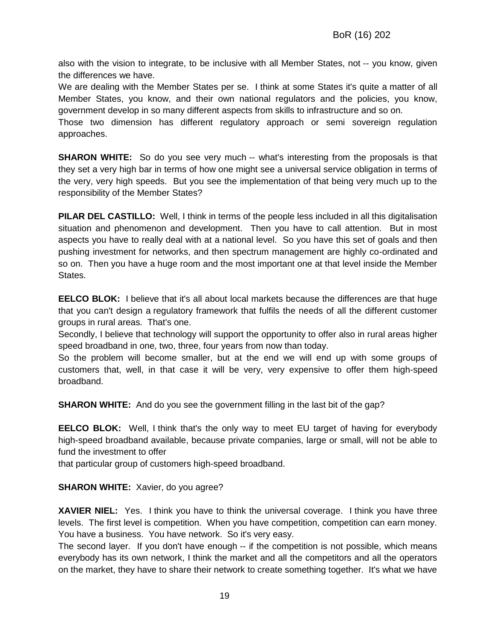also with the vision to integrate, to be inclusive with all Member States, not -- you know, given the differences we have.

We are dealing with the Member States per se. I think at some States it's quite a matter of all Member States, you know, and their own national regulators and the policies, you know, government develop in so many different aspects from skills to infrastructure and so on.

Those two dimension has different regulatory approach or semi sovereign regulation approaches.

**SHARON WHITE:** So do you see very much -- what's interesting from the proposals is that they set a very high bar in terms of how one might see a universal service obligation in terms of the very, very high speeds. But you see the implementation of that being very much up to the responsibility of the Member States?

**PILAR DEL CASTILLO:** Well, I think in terms of the people less included in all this digitalisation situation and phenomenon and development. Then you have to call attention. But in most aspects you have to really deal with at a national level. So you have this set of goals and then pushing investment for networks, and then spectrum management are highly co-ordinated and so on. Then you have a huge room and the most important one at that level inside the Member States.

**EELCO BLOK:** I believe that it's all about local markets because the differences are that huge that you can't design a regulatory framework that fulfils the needs of all the different customer groups in rural areas. That's one.

Secondly, I believe that technology will support the opportunity to offer also in rural areas higher speed broadband in one, two, three, four years from now than today.

So the problem will become smaller, but at the end we will end up with some groups of customers that, well, in that case it will be very, very expensive to offer them high-speed broadband.

**SHARON WHITE:** And do you see the government filling in the last bit of the gap?

**EELCO BLOK:** Well, I think that's the only way to meet EU target of having for everybody high-speed broadband available, because private companies, large or small, will not be able to fund the investment to offer

that particular group of customers high-speed broadband.

**SHARON WHITE:** Xavier, do you agree?

**XAVIER NIEL:** Yes. I think you have to think the universal coverage. I think you have three levels. The first level is competition. When you have competition, competition can earn money. You have a business. You have network. So it's very easy.

The second layer. If you don't have enough -- if the competition is not possible, which means everybody has its own network, I think the market and all the competitors and all the operators on the market, they have to share their network to create something together. It's what we have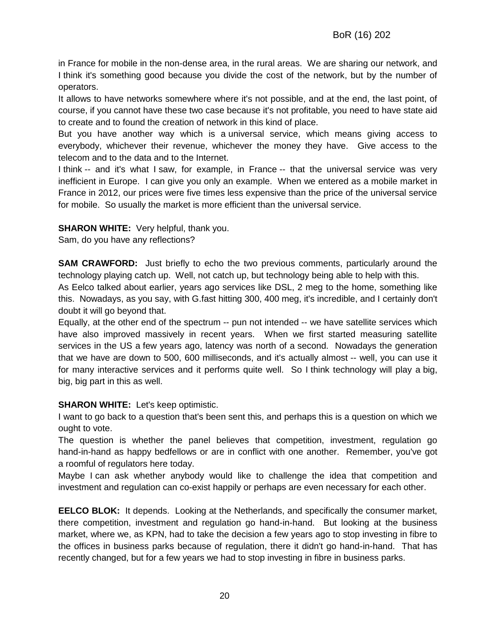in France for mobile in the non-dense area, in the rural areas. We are sharing our network, and I think it's something good because you divide the cost of the network, but by the number of operators.

It allows to have networks somewhere where it's not possible, and at the end, the last point, of course, if you cannot have these two case because it's not profitable, you need to have state aid to create and to found the creation of network in this kind of place.

But you have another way which is a universal service, which means giving access to everybody, whichever their revenue, whichever the money they have. Give access to the telecom and to the data and to the Internet.

I think -- and it's what I saw, for example, in France -- that the universal service was very inefficient in Europe. I can give you only an example. When we entered as a mobile market in France in 2012, our prices were five times less expensive than the price of the universal service for mobile. So usually the market is more efficient than the universal service.

**SHARON WHITE:** Very helpful, thank you.

Sam, do you have any reflections?

**SAM CRAWFORD:** Just briefly to echo the two previous comments, particularly around the technology playing catch up. Well, not catch up, but technology being able to help with this.

As Eelco talked about earlier, years ago services like DSL, 2 meg to the home, something like this. Nowadays, as you say, with G.fast hitting 300, 400 meg, it's incredible, and I certainly don't doubt it will go beyond that.

Equally, at the other end of the spectrum -- pun not intended -- we have satellite services which have also improved massively in recent years. When we first started measuring satellite services in the US a few years ago, latency was north of a second. Nowadays the generation that we have are down to 500, 600 milliseconds, and it's actually almost -- well, you can use it for many interactive services and it performs quite well. So I think technology will play a big, big, big part in this as well.

#### **SHARON WHITE:** Let's keep optimistic.

I want to go back to a question that's been sent this, and perhaps this is a question on which we ought to vote.

The question is whether the panel believes that competition, investment, regulation go hand-in-hand as happy bedfellows or are in conflict with one another. Remember, you've got a roomful of regulators here today.

Maybe I can ask whether anybody would like to challenge the idea that competition and investment and regulation can co-exist happily or perhaps are even necessary for each other.

**EELCO BLOK:** It depends. Looking at the Netherlands, and specifically the consumer market, there competition, investment and regulation go hand-in-hand. But looking at the business market, where we, as KPN, had to take the decision a few years ago to stop investing in fibre to the offices in business parks because of regulation, there it didn't go hand-in-hand. That has recently changed, but for a few years we had to stop investing in fibre in business parks.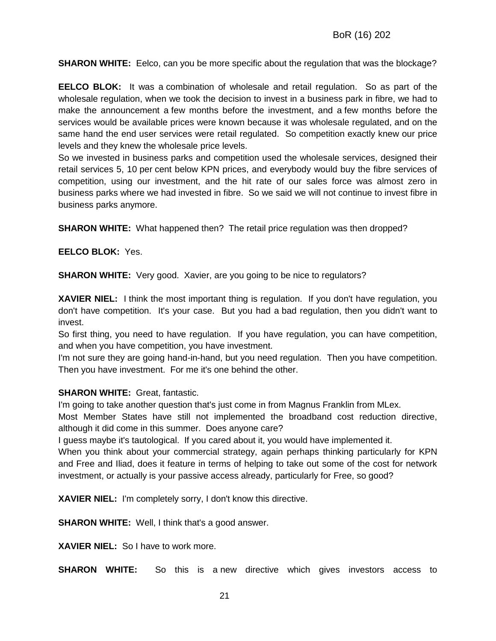**SHARON WHITE:** Eelco, can you be more specific about the regulation that was the blockage?

**EELCO BLOK:** It was a combination of wholesale and retail regulation. So as part of the wholesale regulation, when we took the decision to invest in a business park in fibre, we had to make the announcement a few months before the investment, and a few months before the services would be available prices were known because it was wholesale regulated, and on the same hand the end user services were retail regulated. So competition exactly knew our price levels and they knew the wholesale price levels.

So we invested in business parks and competition used the wholesale services, designed their retail services 5, 10 per cent below KPN prices, and everybody would buy the fibre services of competition, using our investment, and the hit rate of our sales force was almost zero in business parks where we had invested in fibre. So we said we will not continue to invest fibre in business parks anymore.

**SHARON WHITE:** What happened then? The retail price regulation was then dropped?

**EELCO BLOK:** Yes.

**SHARON WHITE:** Very good. Xavier, are you going to be nice to regulators?

**XAVIER NIEL:** I think the most important thing is regulation. If you don't have regulation, you don't have competition. It's your case. But you had a bad regulation, then you didn't want to invest.

So first thing, you need to have regulation. If you have regulation, you can have competition, and when you have competition, you have investment.

I'm not sure they are going hand-in-hand, but you need regulation. Then you have competition. Then you have investment. For me it's one behind the other.

#### **SHARON WHITE:** Great, fantastic.

I'm going to take another question that's just come in from Magnus Franklin from MLex.

Most Member States have still not implemented the broadband cost reduction directive, although it did come in this summer. Does anyone care?

I guess maybe it's tautological. If you cared about it, you would have implemented it.

When you think about your commercial strategy, again perhaps thinking particularly for KPN and Free and Iliad, does it feature in terms of helping to take out some of the cost for network investment, or actually is your passive access already, particularly for Free, so good?

**XAVIER NIEL:** I'm completely sorry, I don't know this directive.

**SHARON WHITE:** Well, I think that's a good answer.

**XAVIER NIEL:** So I have to work more.

**SHARON WHITE:** So this is a new directive which gives investors access to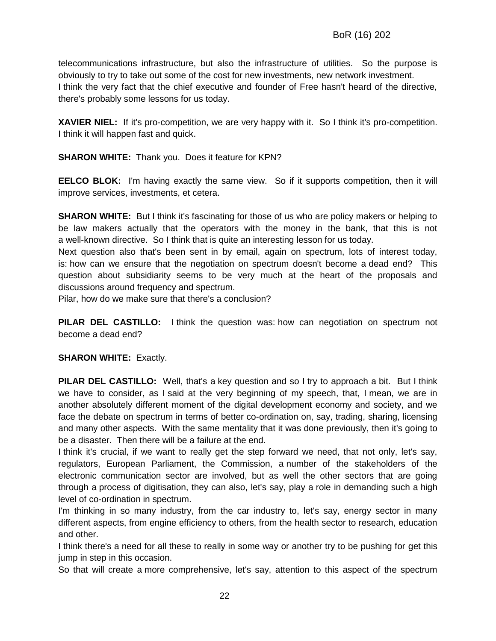telecommunications infrastructure, but also the infrastructure of utilities. So the purpose is obviously to try to take out some of the cost for new investments, new network investment. I think the very fact that the chief executive and founder of Free hasn't heard of the directive, there's probably some lessons for us today.

**XAVIER NIEL:** If it's pro-competition, we are very happy with it. So I think it's pro-competition. I think it will happen fast and quick.

**SHARON WHITE:** Thank you. Does it feature for KPN?

**EELCO BLOK:** I'm having exactly the same view. So if it supports competition, then it will improve services, investments, et cetera.

**SHARON WHITE:** But I think it's fascinating for those of us who are policy makers or helping to be law makers actually that the operators with the money in the bank, that this is not a well-known directive. So I think that is quite an interesting lesson for us today.

Next question also that's been sent in by email, again on spectrum, lots of interest today, is: how can we ensure that the negotiation on spectrum doesn't become a dead end? This question about subsidiarity seems to be very much at the heart of the proposals and discussions around frequency and spectrum.

Pilar, how do we make sure that there's a conclusion?

**PILAR DEL CASTILLO:** I think the question was: how can negotiation on spectrum not become a dead end?

#### **SHARON WHITE: Exactly.**

**PILAR DEL CASTILLO:** Well, that's a key question and so I try to approach a bit. But I think we have to consider, as I said at the very beginning of my speech, that, I mean, we are in another absolutely different moment of the digital development economy and society, and we face the debate on spectrum in terms of better co-ordination on, say, trading, sharing, licensing and many other aspects. With the same mentality that it was done previously, then it's going to be a disaster. Then there will be a failure at the end.

I think it's crucial, if we want to really get the step forward we need, that not only, let's say, regulators, European Parliament, the Commission, a number of the stakeholders of the electronic communication sector are involved, but as well the other sectors that are going through a process of digitisation, they can also, let's say, play a role in demanding such a high level of co-ordination in spectrum.

I'm thinking in so many industry, from the car industry to, let's say, energy sector in many different aspects, from engine efficiency to others, from the health sector to research, education and other.

I think there's a need for all these to really in some way or another try to be pushing for get this jump in step in this occasion.

So that will create a more comprehensive, let's say, attention to this aspect of the spectrum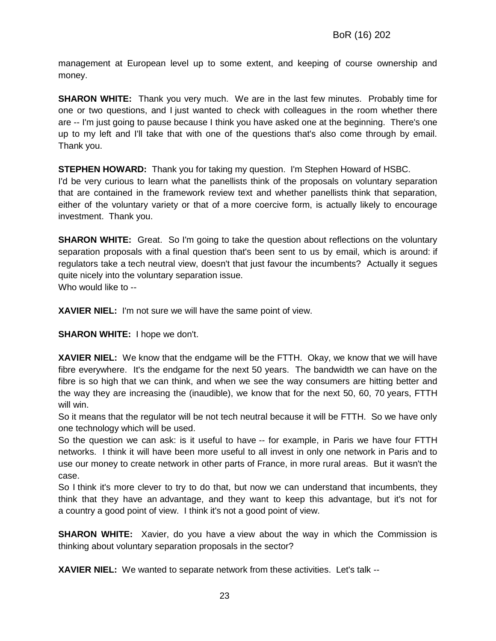management at European level up to some extent, and keeping of course ownership and money.

**SHARON WHITE:** Thank you very much. We are in the last few minutes. Probably time for one or two questions, and I just wanted to check with colleagues in the room whether there are -- I'm just going to pause because I think you have asked one at the beginning. There's one up to my left and I'll take that with one of the questions that's also come through by email. Thank you.

**STEPHEN HOWARD:** Thank you for taking my question. I'm Stephen Howard of HSBC.

I'd be very curious to learn what the panellists think of the proposals on voluntary separation that are contained in the framework review text and whether panellists think that separation, either of the voluntary variety or that of a more coercive form, is actually likely to encourage investment. Thank you.

**SHARON WHITE:** Great. So I'm going to take the question about reflections on the voluntary separation proposals with a final question that's been sent to us by email, which is around: if regulators take a tech neutral view, doesn't that just favour the incumbents? Actually it segues quite nicely into the voluntary separation issue. Who would like to --

**XAVIER NIEL:** I'm not sure we will have the same point of view.

**SHARON WHITE:** I hope we don't.

**XAVIER NIEL:** We know that the endgame will be the FTTH. Okay, we know that we will have fibre everywhere. It's the endgame for the next 50 years. The bandwidth we can have on the fibre is so high that we can think, and when we see the way consumers are hitting better and the way they are increasing the (inaudible), we know that for the next 50, 60, 70 years, FTTH will win.

So it means that the regulator will be not tech neutral because it will be FTTH. So we have only one technology which will be used.

So the question we can ask: is it useful to have -- for example, in Paris we have four FTTH networks. I think it will have been more useful to all invest in only one network in Paris and to use our money to create network in other parts of France, in more rural areas. But it wasn't the case.

So I think it's more clever to try to do that, but now we can understand that incumbents, they think that they have an advantage, and they want to keep this advantage, but it's not for a country a good point of view. I think it's not a good point of view.

**SHARON WHITE:** Xavier, do you have a view about the way in which the Commission is thinking about voluntary separation proposals in the sector?

**XAVIER NIEL:** We wanted to separate network from these activities. Let's talk --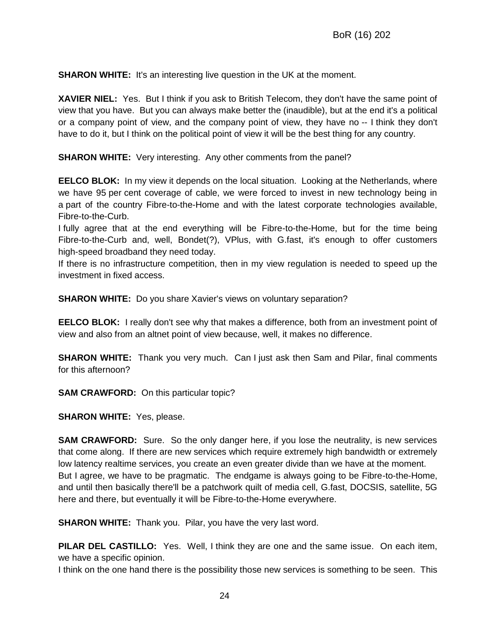**SHARON WHITE:** It's an interesting live question in the UK at the moment.

**XAVIER NIEL:** Yes. But I think if you ask to British Telecom, they don't have the same point of view that you have. But you can always make better the (inaudible), but at the end it's a political or a company point of view, and the company point of view, they have no -- I think they don't have to do it, but I think on the political point of view it will be the best thing for any country.

**SHARON WHITE:** Very interesting. Any other comments from the panel?

**EELCO BLOK:** In my view it depends on the local situation. Looking at the Netherlands, where we have 95 per cent coverage of cable, we were forced to invest in new technology being in a part of the country Fibre-to-the-Home and with the latest corporate technologies available, Fibre-to-the-Curb.

I fully agree that at the end everything will be Fibre-to-the-Home, but for the time being Fibre-to-the-Curb and, well, Bondet(?), VPlus, with G.fast, it's enough to offer customers high-speed broadband they need today.

If there is no infrastructure competition, then in my view regulation is needed to speed up the investment in fixed access.

**SHARON WHITE:** Do you share Xavier's views on voluntary separation?

**EELCO BLOK:** I really don't see why that makes a difference, both from an investment point of view and also from an altnet point of view because, well, it makes no difference.

**SHARON WHITE:** Thank you very much. Can I just ask then Sam and Pilar, final comments for this afternoon?

**SAM CRAWFORD:** On this particular topic?

**SHARON WHITE:** Yes, please.

**SAM CRAWFORD:** Sure. So the only danger here, if you lose the neutrality, is new services that come along. If there are new services which require extremely high bandwidth or extremely low latency realtime services, you create an even greater divide than we have at the moment. But I agree, we have to be pragmatic. The endgame is always going to be Fibre-to-the-Home, and until then basically there'll be a patchwork quilt of media cell, G.fast, DOCSIS, satellite, 5G here and there, but eventually it will be Fibre-to-the-Home everywhere.

**SHARON WHITE:** Thank you. Pilar, you have the very last word.

**PILAR DEL CASTILLO:** Yes. Well, I think they are one and the same issue. On each item, we have a specific opinion.

I think on the one hand there is the possibility those new services is something to be seen. This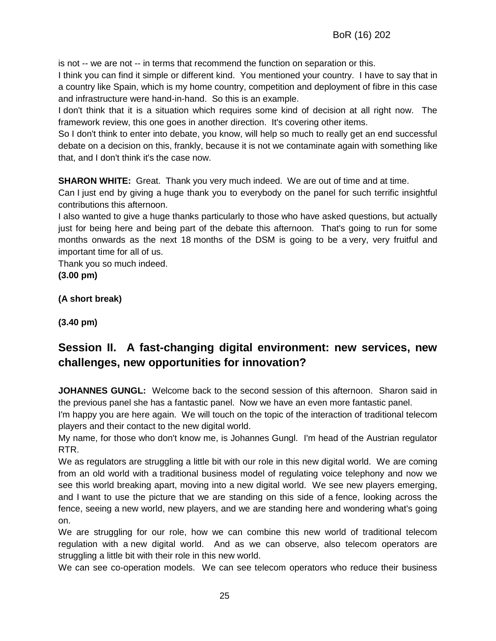is not -- we are not -- in terms that recommend the function on separation or this.

I think you can find it simple or different kind. You mentioned your country. I have to say that in a country like Spain, which is my home country, competition and deployment of fibre in this case and infrastructure were hand-in-hand. So this is an example.

I don't think that it is a situation which requires some kind of decision at all right now. The framework review, this one goes in another direction. It's covering other items.

So I don't think to enter into debate, you know, will help so much to really get an end successful debate on a decision on this, frankly, because it is not we contaminate again with something like that, and I don't think it's the case now.

**SHARON WHITE:** Great. Thank you very much indeed. We are out of time and at time.

Can I just end by giving a huge thank you to everybody on the panel for such terrific insightful contributions this afternoon.

I also wanted to give a huge thanks particularly to those who have asked questions, but actually just for being here and being part of the debate this afternoon. That's going to run for some months onwards as the next 18 months of the DSM is going to be a very, very fruitful and important time for all of us.

Thank you so much indeed.

**(3.00 pm)**

**(A short break)** 

**(3.40 pm)**

# **Session II. A fast-changing digital environment: new services, new challenges, new opportunities for innovation?**

**JOHANNES GUNGL:** Welcome back to the second session of this afternoon. Sharon said in the previous panel she has a fantastic panel. Now we have an even more fantastic panel.

I'm happy you are here again. We will touch on the topic of the interaction of traditional telecom players and their contact to the new digital world.

My name, for those who don't know me, is Johannes Gungl. I'm head of the Austrian regulator RTR.

We as regulators are struggling a little bit with our role in this new digital world. We are coming from an old world with a traditional business model of regulating voice telephony and now we see this world breaking apart, moving into a new digital world. We see new players emerging, and I want to use the picture that we are standing on this side of a fence, looking across the fence, seeing a new world, new players, and we are standing here and wondering what's going on.

We are struggling for our role, how we can combine this new world of traditional telecom regulation with a new digital world. And as we can observe, also telecom operators are struggling a little bit with their role in this new world.

We can see co-operation models. We can see telecom operators who reduce their business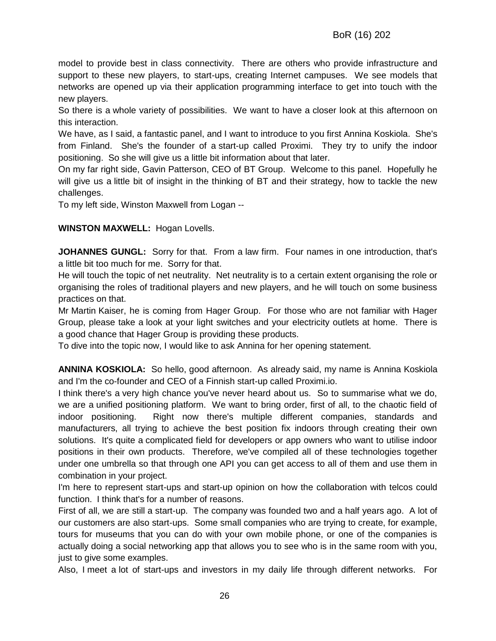model to provide best in class connectivity. There are others who provide infrastructure and support to these new players, to start-ups, creating Internet campuses. We see models that networks are opened up via their application programming interface to get into touch with the new players.

So there is a whole variety of possibilities. We want to have a closer look at this afternoon on this interaction.

We have, as I said, a fantastic panel, and I want to introduce to you first Annina Koskiola. She's from Finland. She's the founder of a start-up called Proximi. They try to unify the indoor positioning. So she will give us a little bit information about that later.

On my far right side, Gavin Patterson, CEO of BT Group. Welcome to this panel. Hopefully he will give us a little bit of insight in the thinking of BT and their strategy, how to tackle the new challenges.

To my left side, Winston Maxwell from Logan --

#### **WINSTON MAXWELL:** Hogan Lovells.

**JOHANNES GUNGL:** Sorry for that. From a law firm. Four names in one introduction, that's a little bit too much for me. Sorry for that.

He will touch the topic of net neutrality. Net neutrality is to a certain extent organising the role or organising the roles of traditional players and new players, and he will touch on some business practices on that.

Mr Martin Kaiser, he is coming from Hager Group. For those who are not familiar with Hager Group, please take a look at your light switches and your electricity outlets at home. There is a good chance that Hager Group is providing these products.

To dive into the topic now, I would like to ask Annina for her opening statement.

**ANNINA KOSKIOLA:** So hello, good afternoon. As already said, my name is Annina Koskiola and I'm the co-founder and CEO of a Finnish start-up called Proximi.io.

I think there's a very high chance you've never heard about us. So to summarise what we do, we are a unified positioning platform. We want to bring order, first of all, to the chaotic field of indoor positioning. Right now there's multiple different companies, standards and manufacturers, all trying to achieve the best position fix indoors through creating their own solutions. It's quite a complicated field for developers or app owners who want to utilise indoor positions in their own products. Therefore, we've compiled all of these technologies together under one umbrella so that through one API you can get access to all of them and use them in combination in your project.

I'm here to represent start-ups and start-up opinion on how the collaboration with telcos could function. I think that's for a number of reasons.

First of all, we are still a start-up. The company was founded two and a half years ago. A lot of our customers are also start-ups. Some small companies who are trying to create, for example, tours for museums that you can do with your own mobile phone, or one of the companies is actually doing a social networking app that allows you to see who is in the same room with you, just to give some examples.

Also, I meet a lot of start-ups and investors in my daily life through different networks. For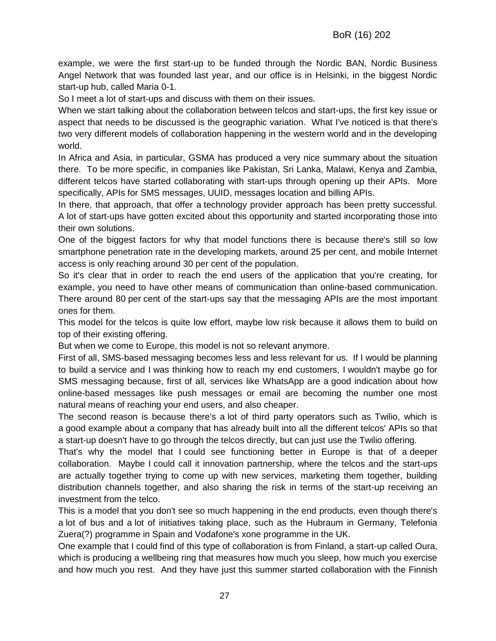example, we were the first start-up to be funded through the Nordic BAN, Nordic Business Angel Network that was founded last year, and our office is in Helsinki, in the biggest Nordic start-up hub, called Maria 0-1.

So I meet a lot of start-ups and discuss with them on their issues.

When we start talking about the collaboration between telcos and start-ups, the first key issue or aspect that needs to be discussed is the geographic variation. What I've noticed is that there's two very different models of collaboration happening in the western world and in the developing world.

In Africa and Asia, in particular, GSMA has produced a very nice summary about the situation there. To be more specific, in companies like Pakistan, Sri Lanka, Malawi, Kenya and Zambia, different telcos have started collaborating with start-ups through opening up their APIs. More specifically, APIs for SMS messages, UUID, messages location and billing APIs.

In there, that approach, that offer a technology provider approach has been pretty successful. A lot of start-ups have gotten excited about this opportunity and started incorporating those into their own solutions.

One of the biggest factors for why that model functions there is because there's still so low smartphone penetration rate in the developing markets, around 25 per cent, and mobile Internet access is only reaching around 30 per cent of the population.

So it's clear that in order to reach the end users of the application that you're creating, for example, you need to have other means of communication than online-based communication. There around 80 per cent of the start-ups say that the messaging APIs are the most important ones for them.

This model for the telcos is quite low effort, maybe low risk because it allows them to build on top of their existing offering.

But when we come to Europe, this model is not so relevant anymore.

First of all, SMS-based messaging becomes less and less relevant for us. If I would be planning to build a service and I was thinking how to reach my end customers, I wouldn't maybe go for SMS messaging because, first of all, services like WhatsApp are a good indication about how online-based messages like push messages or email are becoming the number one most natural means of reaching your end users, and also cheaper.

The second reason is because there's a lot of third party operators such as Twilio, which is a good example about a company that has already built into all the different telcos' APIs so that a start-up doesn't have to go through the telcos directly, but can just use the Twilio offering.

That's why the model that I could see functioning better in Europe is that of a deeper collaboration. Maybe I could call it innovation partnership, where the telcos and the start-ups are actually together trying to come up with new services, marketing them together, building distribution channels together, and also sharing the risk in terms of the start-up receiving an investment from the telco.

This is a model that you don't see so much happening in the end products, even though there's a lot of bus and a lot of initiatives taking place, such as the Hubraum in Germany, Telefonia Zuera(?) programme in Spain and Vodafone's xone programme in the UK.

One example that I could find of this type of collaboration is from Finland, a start-up called Oura, which is producing a wellbeing ring that measures how much you sleep, how much you exercise and how much you rest. And they have just this summer started collaboration with the Finnish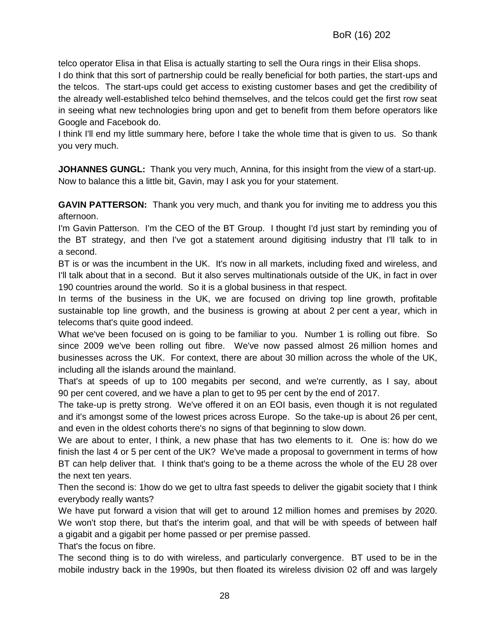telco operator Elisa in that Elisa is actually starting to sell the Oura rings in their Elisa shops.

I do think that this sort of partnership could be really beneficial for both parties, the start-ups and the telcos. The start-ups could get access to existing customer bases and get the credibility of the already well-established telco behind themselves, and the telcos could get the first row seat in seeing what new technologies bring upon and get to benefit from them before operators like Google and Facebook do.

I think I'll end my little summary here, before I take the whole time that is given to us. So thank you very much.

**JOHANNES GUNGL:** Thank you very much, Annina, for this insight from the view of a start-up. Now to balance this a little bit, Gavin, may I ask you for your statement.

**GAVIN PATTERSON:** Thank you very much, and thank you for inviting me to address you this afternoon.

I'm Gavin Patterson. I'm the CEO of the BT Group. I thought I'd just start by reminding you of the BT strategy, and then I've got a statement around digitising industry that I'll talk to in a second.

BT is or was the incumbent in the UK. It's now in all markets, including fixed and wireless, and I'll talk about that in a second. But it also serves multinationals outside of the UK, in fact in over 190 countries around the world. So it is a global business in that respect.

In terms of the business in the UK, we are focused on driving top line growth, profitable sustainable top line growth, and the business is growing at about 2 per cent a year, which in telecoms that's quite good indeed.

What we've been focused on is going to be familiar to you. Number 1 is rolling out fibre. So since 2009 we've been rolling out fibre. We've now passed almost 26 million homes and businesses across the UK. For context, there are about 30 million across the whole of the UK, including all the islands around the mainland.

That's at speeds of up to 100 megabits per second, and we're currently, as I say, about 90 per cent covered, and we have a plan to get to 95 per cent by the end of 2017.

The take-up is pretty strong. We've offered it on an EOI basis, even though it is not regulated and it's amongst some of the lowest prices across Europe. So the take-up is about 26 per cent, and even in the oldest cohorts there's no signs of that beginning to slow down.

We are about to enter, I think, a new phase that has two elements to it. One is: how do we finish the last 4 or 5 per cent of the UK? We've made a proposal to government in terms of how BT can help deliver that. I think that's going to be a theme across the whole of the EU 28 over the next ten years.

Then the second is: 1how do we get to ultra fast speeds to deliver the gigabit society that I think everybody really wants?

We have put forward a vision that will get to around 12 million homes and premises by 2020. We won't stop there, but that's the interim goal, and that will be with speeds of between half a gigabit and a gigabit per home passed or per premise passed.

That's the focus on fibre.

The second thing is to do with wireless, and particularly convergence. BT used to be in the mobile industry back in the 1990s, but then floated its wireless division 02 off and was largely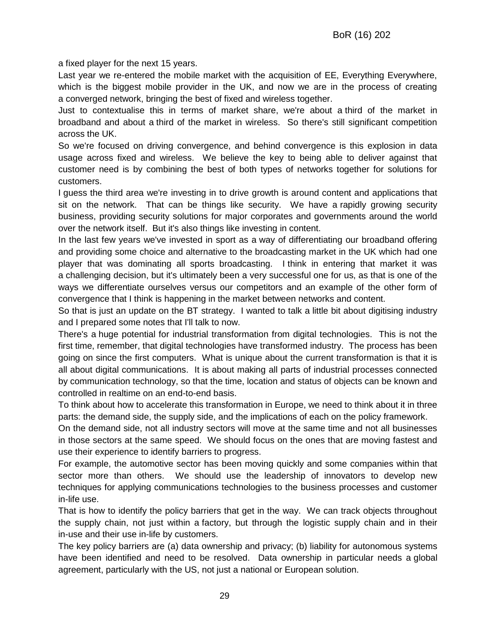a fixed player for the next 15 years.

Last year we re-entered the mobile market with the acquisition of EE, Everything Everywhere, which is the biggest mobile provider in the UK, and now we are in the process of creating a converged network, bringing the best of fixed and wireless together.

Just to contextualise this in terms of market share, we're about a third of the market in broadband and about a third of the market in wireless. So there's still significant competition across the UK.

So we're focused on driving convergence, and behind convergence is this explosion in data usage across fixed and wireless. We believe the key to being able to deliver against that customer need is by combining the best of both types of networks together for solutions for customers.

I guess the third area we're investing in to drive growth is around content and applications that sit on the network. That can be things like security. We have a rapidly growing security business, providing security solutions for major corporates and governments around the world over the network itself. But it's also things like investing in content.

In the last few years we've invested in sport as a way of differentiating our broadband offering and providing some choice and alternative to the broadcasting market in the UK which had one player that was dominating all sports broadcasting. I think in entering that market it was a challenging decision, but it's ultimately been a very successful one for us, as that is one of the ways we differentiate ourselves versus our competitors and an example of the other form of convergence that I think is happening in the market between networks and content.

So that is just an update on the BT strategy. I wanted to talk a little bit about digitising industry and I prepared some notes that I'll talk to now.

There's a huge potential for industrial transformation from digital technologies. This is not the first time, remember, that digital technologies have transformed industry. The process has been going on since the first computers. What is unique about the current transformation is that it is all about digital communications. It is about making all parts of industrial processes connected by communication technology, so that the time, location and status of objects can be known and controlled in realtime on an end-to-end basis.

To think about how to accelerate this transformation in Europe, we need to think about it in three parts: the demand side, the supply side, and the implications of each on the policy framework.

On the demand side, not all industry sectors will move at the same time and not all businesses in those sectors at the same speed. We should focus on the ones that are moving fastest and use their experience to identify barriers to progress.

For example, the automotive sector has been moving quickly and some companies within that sector more than others. We should use the leadership of innovators to develop new techniques for applying communications technologies to the business processes and customer in-life use.

That is how to identify the policy barriers that get in the way. We can track objects throughout the supply chain, not just within a factory, but through the logistic supply chain and in their in-use and their use in-life by customers.

The key policy barriers are (a) data ownership and privacy; (b) liability for autonomous systems have been identified and need to be resolved. Data ownership in particular needs a global agreement, particularly with the US, not just a national or European solution.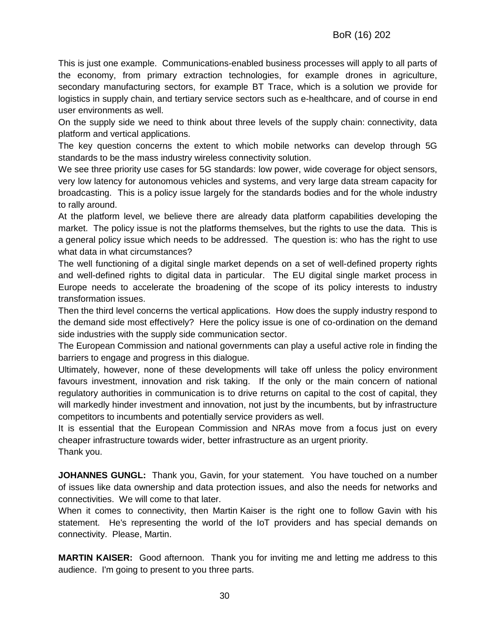This is just one example. Communications-enabled business processes will apply to all parts of the economy, from primary extraction technologies, for example drones in agriculture, secondary manufacturing sectors, for example BT Trace, which is a solution we provide for logistics in supply chain, and tertiary service sectors such as e-healthcare, and of course in end user environments as well.

On the supply side we need to think about three levels of the supply chain: connectivity, data platform and vertical applications.

The key question concerns the extent to which mobile networks can develop through 5G standards to be the mass industry wireless connectivity solution.

We see three priority use cases for 5G standards: low power, wide coverage for object sensors, very low latency for autonomous vehicles and systems, and very large data stream capacity for broadcasting. This is a policy issue largely for the standards bodies and for the whole industry to rally around.

At the platform level, we believe there are already data platform capabilities developing the market. The policy issue is not the platforms themselves, but the rights to use the data. This is a general policy issue which needs to be addressed. The question is: who has the right to use what data in what circumstances?

The well functioning of a digital single market depends on a set of well-defined property rights and well-defined rights to digital data in particular. The EU digital single market process in Europe needs to accelerate the broadening of the scope of its policy interests to industry transformation issues.

Then the third level concerns the vertical applications. How does the supply industry respond to the demand side most effectively? Here the policy issue is one of co-ordination on the demand side industries with the supply side communication sector.

The European Commission and national governments can play a useful active role in finding the barriers to engage and progress in this dialogue.

Ultimately, however, none of these developments will take off unless the policy environment favours investment, innovation and risk taking. If the only or the main concern of national regulatory authorities in communication is to drive returns on capital to the cost of capital, they will markedly hinder investment and innovation, not just by the incumbents, but by infrastructure competitors to incumbents and potentially service providers as well.

It is essential that the European Commission and NRAs move from a focus just on every cheaper infrastructure towards wider, better infrastructure as an urgent priority.

Thank you.

**JOHANNES GUNGL:** Thank you, Gavin, for your statement. You have touched on a number of issues like data ownership and data protection issues, and also the needs for networks and connectivities. We will come to that later.

When it comes to connectivity, then Martin Kaiser is the right one to follow Gavin with his statement. He's representing the world of the IoT providers and has special demands on connectivity. Please, Martin.

**MARTIN KAISER:** Good afternoon. Thank you for inviting me and letting me address to this audience. I'm going to present to you three parts.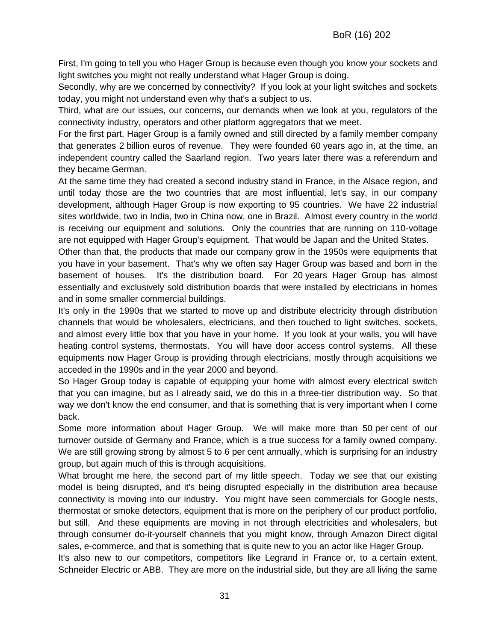First, I'm going to tell you who Hager Group is because even though you know your sockets and light switches you might not really understand what Hager Group is doing.

Secondly, why are we concerned by connectivity? If you look at your light switches and sockets today, you might not understand even why that's a subject to us.

Third, what are our issues, our concerns, our demands when we look at you, regulators of the connectivity industry, operators and other platform aggregators that we meet.

For the first part, Hager Group is a family owned and still directed by a family member company that generates 2 billion euros of revenue. They were founded 60 years ago in, at the time, an independent country called the Saarland region. Two years later there was a referendum and they became German.

At the same time they had created a second industry stand in France, in the Alsace region, and until today those are the two countries that are most influential, let's say, in our company development, although Hager Group is now exporting to 95 countries. We have 22 industrial sites worldwide, two in India, two in China now, one in Brazil. Almost every country in the world is receiving our equipment and solutions. Only the countries that are running on 110-voltage are not equipped with Hager Group's equipment. That would be Japan and the United States.

Other than that, the products that made our company grow in the 1950s were equipments that you have in your basement. That's why we often say Hager Group was based and born in the basement of houses. It's the distribution board. For 20 years Hager Group has almost essentially and exclusively sold distribution boards that were installed by electricians in homes and in some smaller commercial buildings.

It's only in the 1990s that we started to move up and distribute electricity through distribution channels that would be wholesalers, electricians, and then touched to light switches, sockets, and almost every little box that you have in your home. If you look at your walls, you will have heating control systems, thermostats. You will have door access control systems. All these equipments now Hager Group is providing through electricians, mostly through acquisitions we acceded in the 1990s and in the year 2000 and beyond.

So Hager Group today is capable of equipping your home with almost every electrical switch that you can imagine, but as I already said, we do this in a three-tier distribution way. So that way we don't know the end consumer, and that is something that is very important when I come back.

Some more information about Hager Group. We will make more than 50 per cent of our turnover outside of Germany and France, which is a true success for a family owned company. We are still growing strong by almost 5 to 6 per cent annually, which is surprising for an industry group, but again much of this is through acquisitions.

What brought me here, the second part of my little speech. Today we see that our existing model is being disrupted, and it's being disrupted especially in the distribution area because connectivity is moving into our industry. You might have seen commercials for Google nests, thermostat or smoke detectors, equipment that is more on the periphery of our product portfolio, but still. And these equipments are moving in not through electricities and wholesalers, but through consumer do-it-yourself channels that you might know, through Amazon Direct digital sales, e-commerce, and that is something that is quite new to you an actor like Hager Group.

It's also new to our competitors, competitors like Legrand in France or, to a certain extent, Schneider Electric or ABB. They are more on the industrial side, but they are all living the same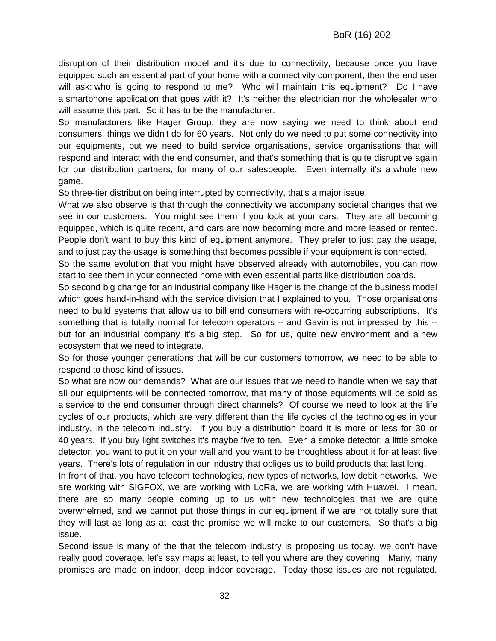disruption of their distribution model and it's due to connectivity, because once you have equipped such an essential part of your home with a connectivity component, then the end user will ask: who is going to respond to me? Who will maintain this equipment? Do I have a smartphone application that goes with it? It's neither the electrician nor the wholesaler who will assume this part. So it has to be the manufacturer.

So manufacturers like Hager Group, they are now saying we need to think about end consumers, things we didn't do for 60 years. Not only do we need to put some connectivity into our equipments, but we need to build service organisations, service organisations that will respond and interact with the end consumer, and that's something that is quite disruptive again for our distribution partners, for many of our salespeople. Even internally it's a whole new game.

So three-tier distribution being interrupted by connectivity, that's a major issue.

What we also observe is that through the connectivity we accompany societal changes that we see in our customers. You might see them if you look at your cars. They are all becoming equipped, which is quite recent, and cars are now becoming more and more leased or rented. People don't want to buy this kind of equipment anymore. They prefer to just pay the usage, and to just pay the usage is something that becomes possible if your equipment is connected.

So the same evolution that you might have observed already with automobiles, you can now start to see them in your connected home with even essential parts like distribution boards.

So second big change for an industrial company like Hager is the change of the business model which goes hand-in-hand with the service division that I explained to you. Those organisations need to build systems that allow us to bill end consumers with re-occurring subscriptions. It's something that is totally normal for telecom operators -- and Gavin is not impressed by this - but for an industrial company it's a big step. So for us, quite new environment and a new ecosystem that we need to integrate.

So for those younger generations that will be our customers tomorrow, we need to be able to respond to those kind of issues.

So what are now our demands? What are our issues that we need to handle when we say that all our equipments will be connected tomorrow, that many of those equipments will be sold as a service to the end consumer through direct channels? Of course we need to look at the life cycles of our products, which are very different than the life cycles of the technologies in your industry, in the telecom industry. If you buy a distribution board it is more or less for 30 or 40 years. If you buy light switches it's maybe five to ten. Even a smoke detector, a little smoke detector, you want to put it on your wall and you want to be thoughtless about it for at least five years. There's lots of regulation in our industry that obliges us to build products that last long.

In front of that, you have telecom technologies, new types of networks, low debit networks. We are working with SIGFOX, we are working with LoRa, we are working with Huawei. I mean, there are so many people coming up to us with new technologies that we are quite overwhelmed, and we cannot put those things in our equipment if we are not totally sure that they will last as long as at least the promise we will make to our customers. So that's a big issue.

Second issue is many of the that the telecom industry is proposing us today, we don't have really good coverage, let's say maps at least, to tell you where are they covering. Many, many promises are made on indoor, deep indoor coverage. Today those issues are not regulated.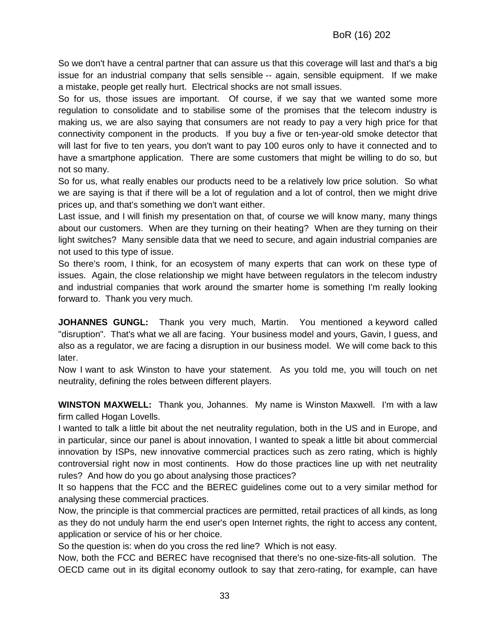So we don't have a central partner that can assure us that this coverage will last and that's a big issue for an industrial company that sells sensible -- again, sensible equipment. If we make a mistake, people get really hurt. Electrical shocks are not small issues.

So for us, those issues are important. Of course, if we say that we wanted some more regulation to consolidate and to stabilise some of the promises that the telecom industry is making us, we are also saying that consumers are not ready to pay a very high price for that connectivity component in the products. If you buy a five or ten-year-old smoke detector that will last for five to ten years, you don't want to pay 100 euros only to have it connected and to have a smartphone application. There are some customers that might be willing to do so, but not so many.

So for us, what really enables our products need to be a relatively low price solution. So what we are saying is that if there will be a lot of regulation and a lot of control, then we might drive prices up, and that's something we don't want either.

Last issue, and I will finish my presentation on that, of course we will know many, many things about our customers. When are they turning on their heating? When are they turning on their light switches? Many sensible data that we need to secure, and again industrial companies are not used to this type of issue.

So there's room, I think, for an ecosystem of many experts that can work on these type of issues. Again, the close relationship we might have between regulators in the telecom industry and industrial companies that work around the smarter home is something I'm really looking forward to. Thank you very much.

**JOHANNES GUNGL:** Thank you very much, Martin. You mentioned a keyword called "disruption". That's what we all are facing. Your business model and yours, Gavin, I guess, and also as a regulator, we are facing a disruption in our business model. We will come back to this later.

Now I want to ask Winston to have your statement. As you told me, you will touch on net neutrality, defining the roles between different players.

**WINSTON MAXWELL:** Thank you, Johannes. My name is Winston Maxwell. I'm with a law firm called Hogan Lovells.

I wanted to talk a little bit about the net neutrality regulation, both in the US and in Europe, and in particular, since our panel is about innovation, I wanted to speak a little bit about commercial innovation by ISPs, new innovative commercial practices such as zero rating, which is highly controversial right now in most continents. How do those practices line up with net neutrality rules? And how do you go about analysing those practices?

It so happens that the FCC and the BEREC guidelines come out to a very similar method for analysing these commercial practices.

Now, the principle is that commercial practices are permitted, retail practices of all kinds, as long as they do not unduly harm the end user's open Internet rights, the right to access any content, application or service of his or her choice.

So the question is: when do you cross the red line? Which is not easy.

Now, both the FCC and BEREC have recognised that there's no one-size-fits-all solution. The OECD came out in its digital economy outlook to say that zero-rating, for example, can have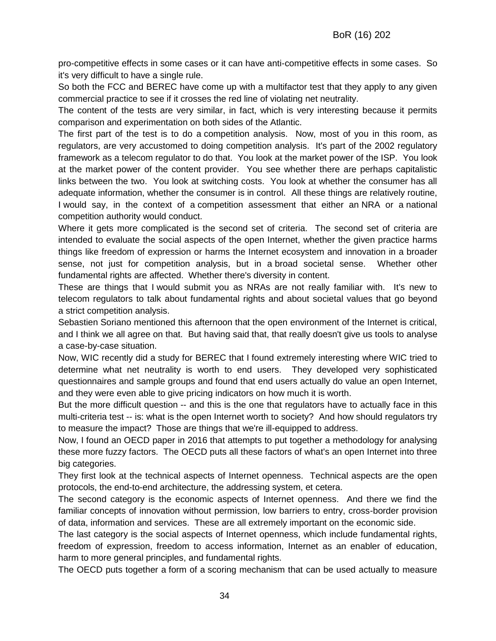pro-competitive effects in some cases or it can have anti-competitive effects in some cases. So it's very difficult to have a single rule.

So both the FCC and BEREC have come up with a multifactor test that they apply to any given commercial practice to see if it crosses the red line of violating net neutrality.

The content of the tests are very similar, in fact, which is very interesting because it permits comparison and experimentation on both sides of the Atlantic.

The first part of the test is to do a competition analysis. Now, most of you in this room, as regulators, are very accustomed to doing competition analysis. It's part of the 2002 regulatory framework as a telecom regulator to do that. You look at the market power of the ISP. You look at the market power of the content provider. You see whether there are perhaps capitalistic links between the two. You look at switching costs. You look at whether the consumer has all adequate information, whether the consumer is in control. All these things are relatively routine, I would say, in the context of a competition assessment that either an NRA or a national competition authority would conduct.

Where it gets more complicated is the second set of criteria. The second set of criteria are intended to evaluate the social aspects of the open Internet, whether the given practice harms things like freedom of expression or harms the Internet ecosystem and innovation in a broader sense, not just for competition analysis, but in a broad societal sense. Whether other fundamental rights are affected. Whether there's diversity in content.

These are things that I would submit you as NRAs are not really familiar with. It's new to telecom regulators to talk about fundamental rights and about societal values that go beyond a strict competition analysis.

Sebastien Soriano mentioned this afternoon that the open environment of the Internet is critical, and I think we all agree on that. But having said that, that really doesn't give us tools to analyse a case-by-case situation.

Now, WIC recently did a study for BEREC that I found extremely interesting where WIC tried to determine what net neutrality is worth to end users. They developed very sophisticated questionnaires and sample groups and found that end users actually do value an open Internet, and they were even able to give pricing indicators on how much it is worth.

But the more difficult question -- and this is the one that regulators have to actually face in this multi-criteria test -- is: what is the open Internet worth to society? And how should regulators try to measure the impact? Those are things that we're ill-equipped to address.

Now, I found an OECD paper in 2016 that attempts to put together a methodology for analysing these more fuzzy factors. The OECD puts all these factors of what's an open Internet into three big categories.

They first look at the technical aspects of Internet openness. Technical aspects are the open protocols, the end-to-end architecture, the addressing system, et cetera.

The second category is the economic aspects of Internet openness. And there we find the familiar concepts of innovation without permission, low barriers to entry, cross-border provision of data, information and services. These are all extremely important on the economic side.

The last category is the social aspects of Internet openness, which include fundamental rights, freedom of expression, freedom to access information, Internet as an enabler of education, harm to more general principles, and fundamental rights.

The OECD puts together a form of a scoring mechanism that can be used actually to measure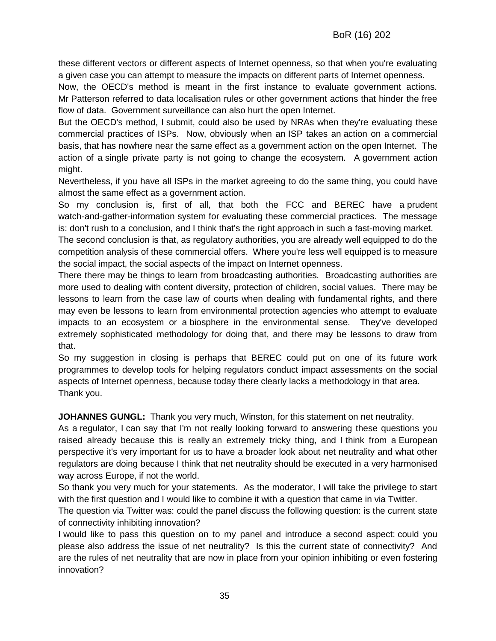these different vectors or different aspects of Internet openness, so that when you're evaluating a given case you can attempt to measure the impacts on different parts of Internet openness.

Now, the OECD's method is meant in the first instance to evaluate government actions. Mr Patterson referred to data localisation rules or other government actions that hinder the free flow of data. Government surveillance can also hurt the open Internet.

But the OECD's method, I submit, could also be used by NRAs when they're evaluating these commercial practices of ISPs. Now, obviously when an ISP takes an action on a commercial basis, that has nowhere near the same effect as a government action on the open Internet. The action of a single private party is not going to change the ecosystem. A government action might.

Nevertheless, if you have all ISPs in the market agreeing to do the same thing, you could have almost the same effect as a government action.

So my conclusion is, first of all, that both the FCC and BEREC have a prudent watch-and-gather-information system for evaluating these commercial practices. The message is: don't rush to a conclusion, and I think that's the right approach in such a fast-moving market.

The second conclusion is that, as regulatory authorities, you are already well equipped to do the competition analysis of these commercial offers. Where you're less well equipped is to measure the social impact, the social aspects of the impact on Internet openness.

There there may be things to learn from broadcasting authorities. Broadcasting authorities are more used to dealing with content diversity, protection of children, social values. There may be lessons to learn from the case law of courts when dealing with fundamental rights, and there may even be lessons to learn from environmental protection agencies who attempt to evaluate impacts to an ecosystem or a biosphere in the environmental sense. They've developed extremely sophisticated methodology for doing that, and there may be lessons to draw from that.

So my suggestion in closing is perhaps that BEREC could put on one of its future work programmes to develop tools for helping regulators conduct impact assessments on the social aspects of Internet openness, because today there clearly lacks a methodology in that area. Thank you.

**JOHANNES GUNGL:** Thank you very much, Winston, for this statement on net neutrality.

As a regulator, I can say that I'm not really looking forward to answering these questions you raised already because this is really an extremely tricky thing, and I think from a European perspective it's very important for us to have a broader look about net neutrality and what other regulators are doing because I think that net neutrality should be executed in a very harmonised way across Europe, if not the world.

So thank you very much for your statements. As the moderator, I will take the privilege to start with the first question and I would like to combine it with a question that came in via Twitter.

The question via Twitter was: could the panel discuss the following question: is the current state of connectivity inhibiting innovation?

I would like to pass this question on to my panel and introduce a second aspect: could you please also address the issue of net neutrality? Is this the current state of connectivity? And are the rules of net neutrality that are now in place from your opinion inhibiting or even fostering innovation?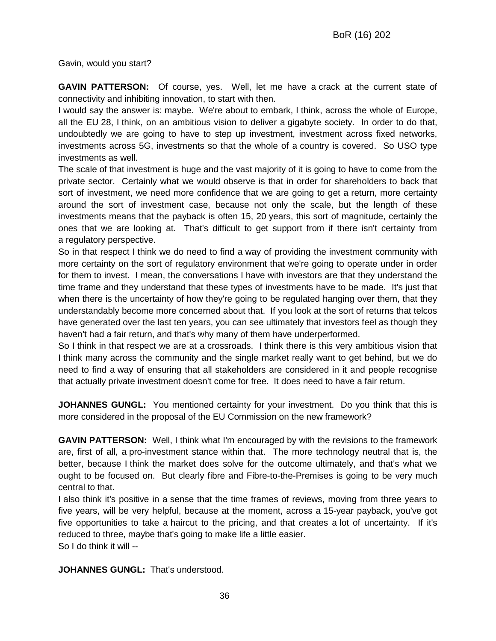Gavin, would you start?

**GAVIN PATTERSON:** Of course, yes. Well, let me have a crack at the current state of connectivity and inhibiting innovation, to start with then.

I would say the answer is: maybe. We're about to embark, I think, across the whole of Europe, all the EU 28, I think, on an ambitious vision to deliver a gigabyte society. In order to do that, undoubtedly we are going to have to step up investment, investment across fixed networks, investments across 5G, investments so that the whole of a country is covered. So USO type investments as well.

The scale of that investment is huge and the vast majority of it is going to have to come from the private sector. Certainly what we would observe is that in order for shareholders to back that sort of investment, we need more confidence that we are going to get a return, more certainty around the sort of investment case, because not only the scale, but the length of these investments means that the payback is often 15, 20 years, this sort of magnitude, certainly the ones that we are looking at. That's difficult to get support from if there isn't certainty from a regulatory perspective.

So in that respect I think we do need to find a way of providing the investment community with more certainty on the sort of regulatory environment that we're going to operate under in order for them to invest. I mean, the conversations I have with investors are that they understand the time frame and they understand that these types of investments have to be made. It's just that when there is the uncertainty of how they're going to be regulated hanging over them, that they understandably become more concerned about that. If you look at the sort of returns that telcos have generated over the last ten years, you can see ultimately that investors feel as though they haven't had a fair return, and that's why many of them have underperformed.

So I think in that respect we are at a crossroads. I think there is this very ambitious vision that I think many across the community and the single market really want to get behind, but we do need to find a way of ensuring that all stakeholders are considered in it and people recognise that actually private investment doesn't come for free. It does need to have a fair return.

**JOHANNES GUNGL:** You mentioned certainty for your investment. Do you think that this is more considered in the proposal of the EU Commission on the new framework?

**GAVIN PATTERSON:** Well, I think what I'm encouraged by with the revisions to the framework are, first of all, a pro-investment stance within that. The more technology neutral that is, the better, because I think the market does solve for the outcome ultimately, and that's what we ought to be focused on. But clearly fibre and Fibre-to-the-Premises is going to be very much central to that.

I also think it's positive in a sense that the time frames of reviews, moving from three years to five years, will be very helpful, because at the moment, across a 15-year payback, you've got five opportunities to take a haircut to the pricing, and that creates a lot of uncertainty. If it's reduced to three, maybe that's going to make life a little easier. So I do think it will --

**JOHANNES GUNGL:** That's understood.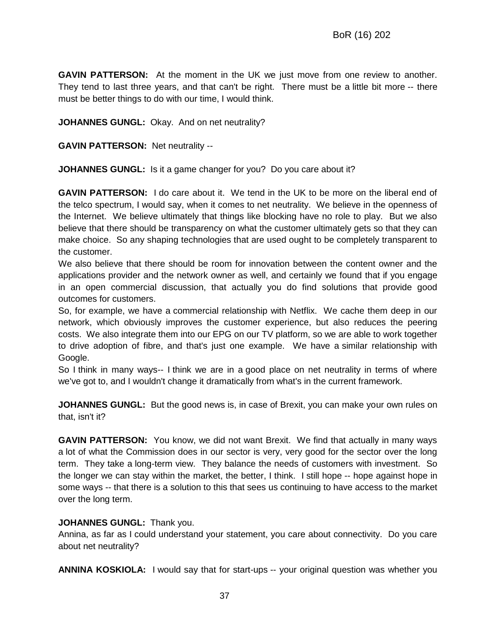**GAVIN PATTERSON:** At the moment in the UK we just move from one review to another. They tend to last three years, and that can't be right. There must be a little bit more -- there must be better things to do with our time, I would think.

**JOHANNES GUNGL:** Okay. And on net neutrality?

**GAVIN PATTERSON:** Net neutrality --

**JOHANNES GUNGL:** Is it a game changer for you? Do you care about it?

**GAVIN PATTERSON:** I do care about it. We tend in the UK to be more on the liberal end of the telco spectrum, I would say, when it comes to net neutrality. We believe in the openness of the Internet. We believe ultimately that things like blocking have no role to play. But we also believe that there should be transparency on what the customer ultimately gets so that they can make choice. So any shaping technologies that are used ought to be completely transparent to the customer.

We also believe that there should be room for innovation between the content owner and the applications provider and the network owner as well, and certainly we found that if you engage in an open commercial discussion, that actually you do find solutions that provide good outcomes for customers.

So, for example, we have a commercial relationship with Netflix. We cache them deep in our network, which obviously improves the customer experience, but also reduces the peering costs. We also integrate them into our EPG on our TV platform, so we are able to work together to drive adoption of fibre, and that's just one example. We have a similar relationship with Google.

So I think in many ways-- I think we are in a good place on net neutrality in terms of where we've got to, and I wouldn't change it dramatically from what's in the current framework.

**JOHANNES GUNGL:** But the good news is, in case of Brexit, you can make your own rules on that, isn't it?

**GAVIN PATTERSON:** You know, we did not want Brexit. We find that actually in many ways a lot of what the Commission does in our sector is very, very good for the sector over the long term. They take a long-term view. They balance the needs of customers with investment. So the longer we can stay within the market, the better, I think. I still hope -- hope against hope in some ways -- that there is a solution to this that sees us continuing to have access to the market over the long term.

#### **JOHANNES GUNGL:** Thank you.

Annina, as far as I could understand your statement, you care about connectivity. Do you care about net neutrality?

**ANNINA KOSKIOLA:** I would say that for start-ups -- your original question was whether you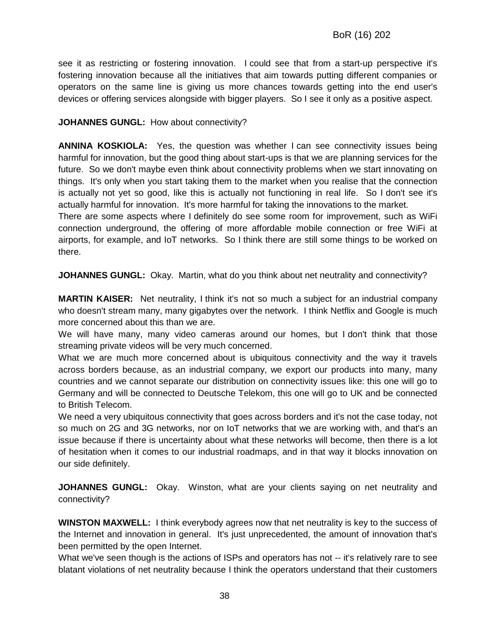see it as restricting or fostering innovation. I could see that from a start-up perspective it's fostering innovation because all the initiatives that aim towards putting different companies or operators on the same line is giving us more chances towards getting into the end user's devices or offering services alongside with bigger players. So I see it only as a positive aspect.

#### **JOHANNES GUNGL:** How about connectivity?

**ANNINA KOSKIOLA:** Yes, the question was whether I can see connectivity issues being harmful for innovation, but the good thing about start-ups is that we are planning services for the future. So we don't maybe even think about connectivity problems when we start innovating on things. It's only when you start taking them to the market when you realise that the connection is actually not yet so good, like this is actually not functioning in real life. So I don't see it's actually harmful for innovation. It's more harmful for taking the innovations to the market.

There are some aspects where I definitely do see some room for improvement, such as WiFi connection underground, the offering of more affordable mobile connection or free WiFi at airports, for example, and IoT networks. So I think there are still some things to be worked on there.

**JOHANNES GUNGL:** Okay. Martin, what do you think about net neutrality and connectivity?

**MARTIN KAISER:** Net neutrality, I think it's not so much a subject for an industrial company who doesn't stream many, many gigabytes over the network. I think Netflix and Google is much more concerned about this than we are.

We will have many, many video cameras around our homes, but I don't think that those streaming private videos will be very much concerned.

What we are much more concerned about is ubiquitous connectivity and the way it travels across borders because, as an industrial company, we export our products into many, many countries and we cannot separate our distribution on connectivity issues like: this one will go to Germany and will be connected to Deutsche Telekom, this one will go to UK and be connected to British Telecom.

We need a very ubiquitous connectivity that goes across borders and it's not the case today, not so much on 2G and 3G networks, nor on IoT networks that we are working with, and that's an issue because if there is uncertainty about what these networks will become, then there is a lot of hesitation when it comes to our industrial roadmaps, and in that way it blocks innovation on our side definitely.

**JOHANNES GUNGL:** Okay. Winston, what are your clients saying on net neutrality and connectivity?

**WINSTON MAXWELL:** I think everybody agrees now that net neutrality is key to the success of the Internet and innovation in general. It's just unprecedented, the amount of innovation that's been permitted by the open Internet.

What we've seen though is the actions of ISPs and operators has not -- it's relatively rare to see blatant violations of net neutrality because I think the operators understand that their customers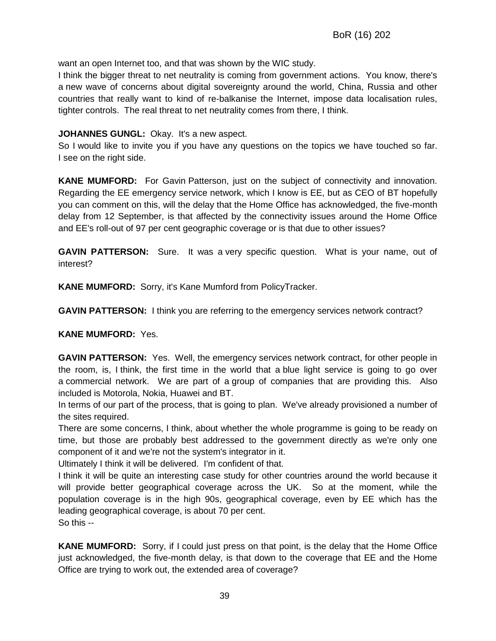want an open Internet too, and that was shown by the WIC study.

I think the bigger threat to net neutrality is coming from government actions. You know, there's a new wave of concerns about digital sovereignty around the world, China, Russia and other countries that really want to kind of re-balkanise the Internet, impose data localisation rules, tighter controls. The real threat to net neutrality comes from there, I think.

#### **JOHANNES GUNGL:** Okay. It's a new aspect.

So I would like to invite you if you have any questions on the topics we have touched so far. I see on the right side.

**KANE MUMFORD:** For Gavin Patterson, just on the subject of connectivity and innovation. Regarding the EE emergency service network, which I know is EE, but as CEO of BT hopefully you can comment on this, will the delay that the Home Office has acknowledged, the five-month delay from 12 September, is that affected by the connectivity issues around the Home Office and EE's roll-out of 97 per cent geographic coverage or is that due to other issues?

**GAVIN PATTERSON:** Sure. It was a very specific question. What is your name, out of interest?

**KANE MUMFORD:** Sorry, it's Kane Mumford from PolicyTracker.

**GAVIN PATTERSON:** I think you are referring to the emergency services network contract?

#### **KANE MUMFORD:** Yes.

**GAVIN PATTERSON:** Yes. Well, the emergency services network contract, for other people in the room, is, I think, the first time in the world that a blue light service is going to go over a commercial network. We are part of a group of companies that are providing this. Also included is Motorola, Nokia, Huawei and BT.

In terms of our part of the process, that is going to plan. We've already provisioned a number of the sites required.

There are some concerns, I think, about whether the whole programme is going to be ready on time, but those are probably best addressed to the government directly as we're only one component of it and we're not the system's integrator in it.

Ultimately I think it will be delivered. I'm confident of that.

I think it will be quite an interesting case study for other countries around the world because it will provide better geographical coverage across the UK. So at the moment, while the population coverage is in the high 90s, geographical coverage, even by EE which has the leading geographical coverage, is about 70 per cent. So this --

**KANE MUMFORD:** Sorry, if I could just press on that point, is the delay that the Home Office just acknowledged, the five-month delay, is that down to the coverage that EE and the Home Office are trying to work out, the extended area of coverage?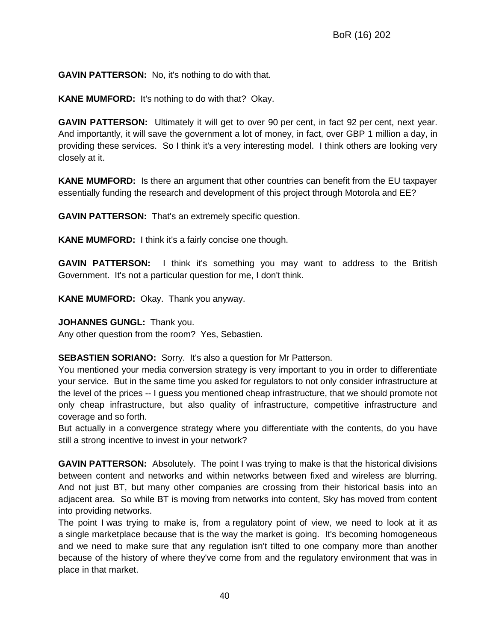**GAVIN PATTERSON:** No, it's nothing to do with that.

**KANE MUMFORD:** It's nothing to do with that? Okay.

**GAVIN PATTERSON:** Ultimately it will get to over 90 per cent, in fact 92 per cent, next year. And importantly, it will save the government a lot of money, in fact, over GBP 1 million a day, in providing these services. So I think it's a very interesting model. I think others are looking very closely at it.

**KANE MUMFORD:** Is there an argument that other countries can benefit from the EU taxpayer essentially funding the research and development of this project through Motorola and EE?

**GAVIN PATTERSON:** That's an extremely specific question.

**KANE MUMFORD:** I think it's a fairly concise one though.

**GAVIN PATTERSON:** I think it's something you may want to address to the British Government. It's not a particular question for me, I don't think.

**KANE MUMFORD:** Okay. Thank you anyway.

**JOHANNES GUNGL:** Thank you.

Any other question from the room? Yes, Sebastien.

**SEBASTIEN SORIANO:** Sorry. It's also a question for Mr Patterson.

You mentioned your media conversion strategy is very important to you in order to differentiate your service. But in the same time you asked for regulators to not only consider infrastructure at the level of the prices -- I guess you mentioned cheap infrastructure, that we should promote not only cheap infrastructure, but also quality of infrastructure, competitive infrastructure and coverage and so forth.

But actually in a convergence strategy where you differentiate with the contents, do you have still a strong incentive to invest in your network?

**GAVIN PATTERSON:** Absolutely. The point I was trying to make is that the historical divisions between content and networks and within networks between fixed and wireless are blurring. And not just BT, but many other companies are crossing from their historical basis into an adjacent area. So while BT is moving from networks into content, Sky has moved from content into providing networks.

The point I was trying to make is, from a regulatory point of view, we need to look at it as a single marketplace because that is the way the market is going. It's becoming homogeneous and we need to make sure that any regulation isn't tilted to one company more than another because of the history of where they've come from and the regulatory environment that was in place in that market.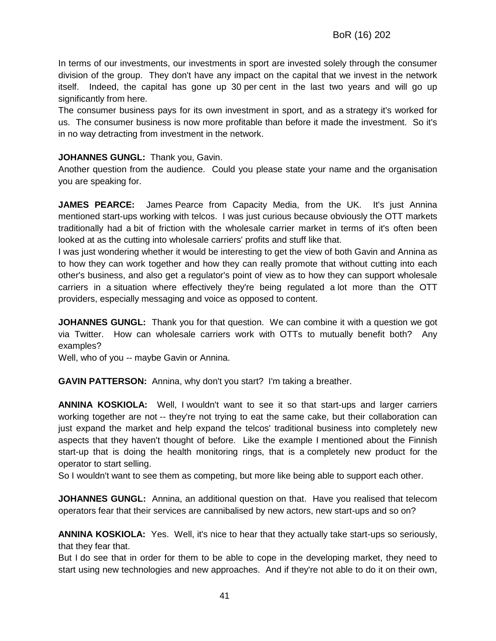In terms of our investments, our investments in sport are invested solely through the consumer division of the group. They don't have any impact on the capital that we invest in the network itself. Indeed, the capital has gone up 30 per cent in the last two years and will go up significantly from here.

The consumer business pays for its own investment in sport, and as a strategy it's worked for us. The consumer business is now more profitable than before it made the investment. So it's in no way detracting from investment in the network.

#### **JOHANNES GUNGL:** Thank you, Gavin.

Another question from the audience. Could you please state your name and the organisation you are speaking for.

**JAMES PEARCE:** James Pearce from Capacity Media, from the UK. It's just Annina mentioned start-ups working with telcos. I was just curious because obviously the OTT markets traditionally had a bit of friction with the wholesale carrier market in terms of it's often been looked at as the cutting into wholesale carriers' profits and stuff like that.

I was just wondering whether it would be interesting to get the view of both Gavin and Annina as to how they can work together and how they can really promote that without cutting into each other's business, and also get a regulator's point of view as to how they can support wholesale carriers in a situation where effectively they're being regulated a lot more than the OTT providers, especially messaging and voice as opposed to content.

**JOHANNES GUNGL:** Thank you for that question. We can combine it with a question we got via Twitter. How can wholesale carriers work with OTTs to mutually benefit both? Any examples?

Well, who of you -- maybe Gavin or Annina.

**GAVIN PATTERSON:** Annina, why don't you start? I'm taking a breather.

**ANNINA KOSKIOLA:** Well, I wouldn't want to see it so that start-ups and larger carriers working together are not -- they're not trying to eat the same cake, but their collaboration can just expand the market and help expand the telcos' traditional business into completely new aspects that they haven't thought of before. Like the example I mentioned about the Finnish start-up that is doing the health monitoring rings, that is a completely new product for the operator to start selling.

So I wouldn't want to see them as competing, but more like being able to support each other.

**JOHANNES GUNGL:** Annina, an additional question on that. Have you realised that telecom operators fear that their services are cannibalised by new actors, new start-ups and so on?

**ANNINA KOSKIOLA:** Yes. Well, it's nice to hear that they actually take start-ups so seriously, that they fear that.

But I do see that in order for them to be able to cope in the developing market, they need to start using new technologies and new approaches. And if they're not able to do it on their own,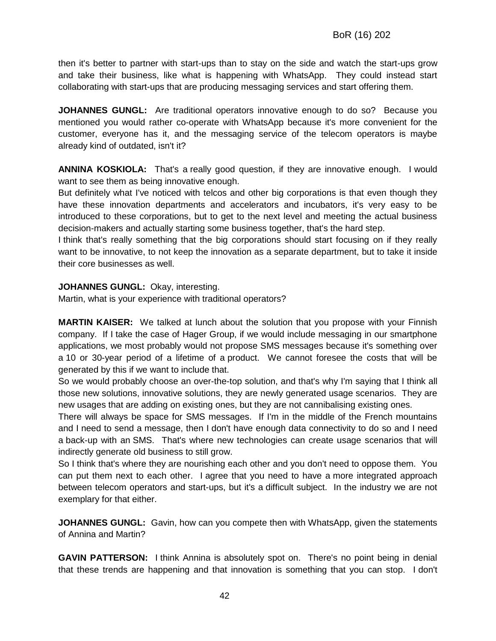then it's better to partner with start-ups than to stay on the side and watch the start-ups grow and take their business, like what is happening with WhatsApp. They could instead start collaborating with start-ups that are producing messaging services and start offering them.

**JOHANNES GUNGL:** Are traditional operators innovative enough to do so? Because you mentioned you would rather co-operate with WhatsApp because it's more convenient for the customer, everyone has it, and the messaging service of the telecom operators is maybe already kind of outdated, isn't it?

**ANNINA KOSKIOLA:** That's a really good question, if they are innovative enough. I would want to see them as being innovative enough.

But definitely what I've noticed with telcos and other big corporations is that even though they have these innovation departments and accelerators and incubators, it's very easy to be introduced to these corporations, but to get to the next level and meeting the actual business decision-makers and actually starting some business together, that's the hard step.

I think that's really something that the big corporations should start focusing on if they really want to be innovative, to not keep the innovation as a separate department, but to take it inside their core businesses as well.

#### **JOHANNES GUNGL:** Okay, interesting.

Martin, what is your experience with traditional operators?

**MARTIN KAISER:** We talked at lunch about the solution that you propose with your Finnish company. If I take the case of Hager Group, if we would include messaging in our smartphone applications, we most probably would not propose SMS messages because it's something over a 10 or 30-year period of a lifetime of a product. We cannot foresee the costs that will be generated by this if we want to include that.

So we would probably choose an over-the-top solution, and that's why I'm saying that I think all those new solutions, innovative solutions, they are newly generated usage scenarios. They are new usages that are adding on existing ones, but they are not cannibalising existing ones.

There will always be space for SMS messages. If I'm in the middle of the French mountains and I need to send a message, then I don't have enough data connectivity to do so and I need a back-up with an SMS. That's where new technologies can create usage scenarios that will indirectly generate old business to still grow.

So I think that's where they are nourishing each other and you don't need to oppose them. You can put them next to each other. I agree that you need to have a more integrated approach between telecom operators and start-ups, but it's a difficult subject. In the industry we are not exemplary for that either.

**JOHANNES GUNGL:** Gavin, how can you compete then with WhatsApp, given the statements of Annina and Martin?

**GAVIN PATTERSON:** I think Annina is absolutely spot on. There's no point being in denial that these trends are happening and that innovation is something that you can stop. I don't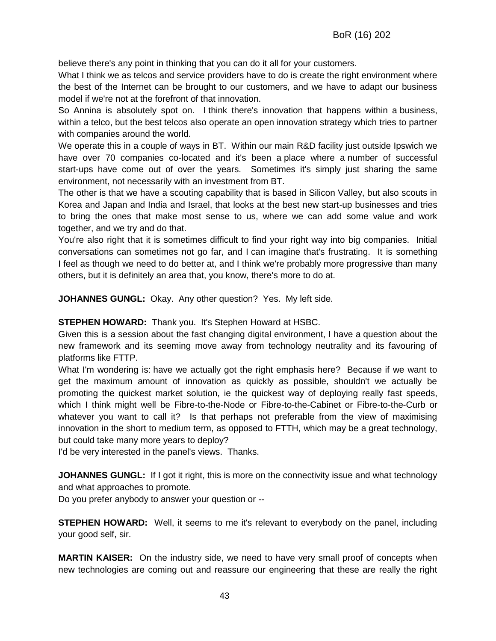believe there's any point in thinking that you can do it all for your customers.

What I think we as telcos and service providers have to do is create the right environment where the best of the Internet can be brought to our customers, and we have to adapt our business model if we're not at the forefront of that innovation.

So Annina is absolutely spot on. I think there's innovation that happens within a business, within a telco, but the best telcos also operate an open innovation strategy which tries to partner with companies around the world.

We operate this in a couple of ways in BT. Within our main R&D facility just outside Ipswich we have over 70 companies co-located and it's been a place where a number of successful start-ups have come out of over the years. Sometimes it's simply just sharing the same environment, not necessarily with an investment from BT.

The other is that we have a scouting capability that is based in Silicon Valley, but also scouts in Korea and Japan and India and Israel, that looks at the best new start-up businesses and tries to bring the ones that make most sense to us, where we can add some value and work together, and we try and do that.

You're also right that it is sometimes difficult to find your right way into big companies. Initial conversations can sometimes not go far, and I can imagine that's frustrating. It is something I feel as though we need to do better at, and I think we're probably more progressive than many others, but it is definitely an area that, you know, there's more to do at.

**JOHANNES GUNGL:** Okay. Any other question? Yes. My left side.

**STEPHEN HOWARD:** Thank you. It's Stephen Howard at HSBC.

Given this is a session about the fast changing digital environment, I have a question about the new framework and its seeming move away from technology neutrality and its favouring of platforms like FTTP.

What I'm wondering is: have we actually got the right emphasis here? Because if we want to get the maximum amount of innovation as quickly as possible, shouldn't we actually be promoting the quickest market solution, ie the quickest way of deploying really fast speeds, which I think might well be Fibre-to-the-Node or Fibre-to-the-Cabinet or Fibre-to-the-Curb or whatever you want to call it? Is that perhaps not preferable from the view of maximising innovation in the short to medium term, as opposed to FTTH, which may be a great technology, but could take many more years to deploy?

I'd be very interested in the panel's views. Thanks.

**JOHANNES GUNGL:** If I got it right, this is more on the connectivity issue and what technology and what approaches to promote.

Do you prefer anybody to answer your question or --

**STEPHEN HOWARD:** Well, it seems to me it's relevant to everybody on the panel, including your good self, sir.

**MARTIN KAISER:** On the industry side, we need to have very small proof of concepts when new technologies are coming out and reassure our engineering that these are really the right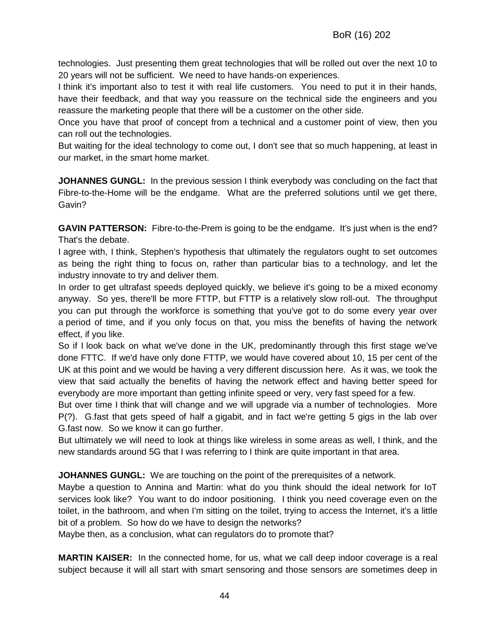technologies. Just presenting them great technologies that will be rolled out over the next 10 to 20 years will not be sufficient. We need to have hands-on experiences.

I think it's important also to test it with real life customers. You need to put it in their hands, have their feedback, and that way you reassure on the technical side the engineers and you reassure the marketing people that there will be a customer on the other side.

Once you have that proof of concept from a technical and a customer point of view, then you can roll out the technologies.

But waiting for the ideal technology to come out, I don't see that so much happening, at least in our market, in the smart home market.

**JOHANNES GUNGL:** In the previous session I think everybody was concluding on the fact that Fibre-to-the-Home will be the endgame. What are the preferred solutions until we get there, Gavin?

**GAVIN PATTERSON:** Fibre-to-the-Prem is going to be the endgame. It's just when is the end? That's the debate.

I agree with, I think, Stephen's hypothesis that ultimately the regulators ought to set outcomes as being the right thing to focus on, rather than particular bias to a technology, and let the industry innovate to try and deliver them.

In order to get ultrafast speeds deployed quickly, we believe it's going to be a mixed economy anyway. So yes, there'll be more FTTP, but FTTP is a relatively slow roll-out. The throughput you can put through the workforce is something that you've got to do some every year over a period of time, and if you only focus on that, you miss the benefits of having the network effect, if you like.

So if I look back on what we've done in the UK, predominantly through this first stage we've done FTTC. If we'd have only done FTTP, we would have covered about 10, 15 per cent of the UK at this point and we would be having a very different discussion here. As it was, we took the view that said actually the benefits of having the network effect and having better speed for everybody are more important than getting infinite speed or very, very fast speed for a few.

But over time I think that will change and we will upgrade via a number of technologies. More P(?). G.fast that gets speed of half a gigabit, and in fact we're getting 5 gigs in the lab over G.fast now. So we know it can go further.

But ultimately we will need to look at things like wireless in some areas as well, I think, and the new standards around 5G that I was referring to I think are quite important in that area.

**JOHANNES GUNGL:** We are touching on the point of the prerequisites of a network.

Maybe a question to Annina and Martin: what do you think should the ideal network for IoT services look like? You want to do indoor positioning. I think you need coverage even on the toilet, in the bathroom, and when I'm sitting on the toilet, trying to access the Internet, it's a little bit of a problem. So how do we have to design the networks?

Maybe then, as a conclusion, what can regulators do to promote that?

**MARTIN KAISER:** In the connected home, for us, what we call deep indoor coverage is a real subject because it will all start with smart sensoring and those sensors are sometimes deep in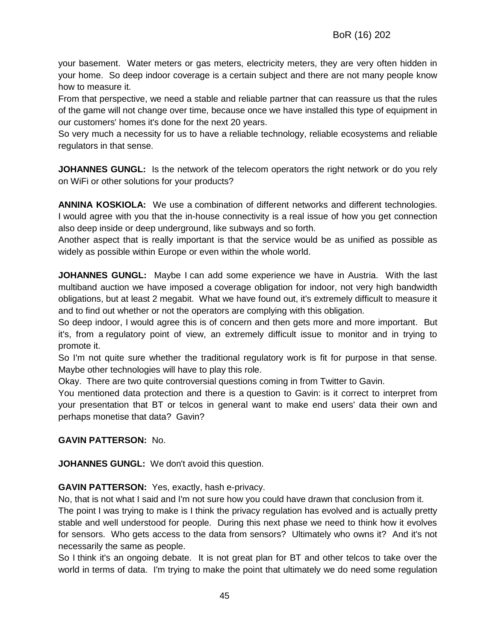your basement. Water meters or gas meters, electricity meters, they are very often hidden in your home. So deep indoor coverage is a certain subject and there are not many people know how to measure it.

From that perspective, we need a stable and reliable partner that can reassure us that the rules of the game will not change over time, because once we have installed this type of equipment in our customers' homes it's done for the next 20 years.

So very much a necessity for us to have a reliable technology, reliable ecosystems and reliable regulators in that sense.

**JOHANNES GUNGL:** Is the network of the telecom operators the right network or do you rely on WiFi or other solutions for your products?

**ANNINA KOSKIOLA:** We use a combination of different networks and different technologies. I would agree with you that the in-house connectivity is a real issue of how you get connection also deep inside or deep underground, like subways and so forth.

Another aspect that is really important is that the service would be as unified as possible as widely as possible within Europe or even within the whole world.

**JOHANNES GUNGL:** Maybe I can add some experience we have in Austria. With the last multiband auction we have imposed a coverage obligation for indoor, not very high bandwidth obligations, but at least 2 megabit. What we have found out, it's extremely difficult to measure it and to find out whether or not the operators are complying with this obligation.

So deep indoor, I would agree this is of concern and then gets more and more important. But it's, from a regulatory point of view, an extremely difficult issue to monitor and in trying to promote it.

So I'm not quite sure whether the traditional regulatory work is fit for purpose in that sense. Maybe other technologies will have to play this role.

Okay. There are two quite controversial questions coming in from Twitter to Gavin.

You mentioned data protection and there is a question to Gavin: is it correct to interpret from your presentation that BT or telcos in general want to make end users' data their own and perhaps monetise that data? Gavin?

#### **GAVIN PATTERSON:** No.

**JOHANNES GUNGL:** We don't avoid this question.

**GAVIN PATTERSON:** Yes, exactly, hash e-privacy.

No, that is not what I said and I'm not sure how you could have drawn that conclusion from it. The point I was trying to make is I think the privacy regulation has evolved and is actually pretty stable and well understood for people. During this next phase we need to think how it evolves for sensors. Who gets access to the data from sensors? Ultimately who owns it? And it's not necessarily the same as people.

So I think it's an ongoing debate. It is not great plan for BT and other telcos to take over the world in terms of data. I'm trying to make the point that ultimately we do need some regulation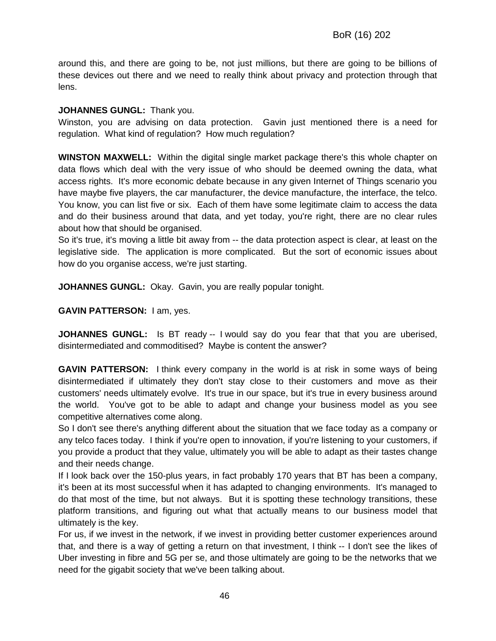around this, and there are going to be, not just millions, but there are going to be billions of these devices out there and we need to really think about privacy and protection through that lens.

#### **JOHANNES GUNGL:** Thank you.

Winston, you are advising on data protection. Gavin just mentioned there is a need for regulation. What kind of regulation? How much regulation?

**WINSTON MAXWELL:** Within the digital single market package there's this whole chapter on data flows which deal with the very issue of who should be deemed owning the data, what access rights. It's more economic debate because in any given Internet of Things scenario you have maybe five players, the car manufacturer, the device manufacture, the interface, the telco. You know, you can list five or six. Each of them have some legitimate claim to access the data and do their business around that data, and yet today, you're right, there are no clear rules about how that should be organised.

So it's true, it's moving a little bit away from -- the data protection aspect is clear, at least on the legislative side. The application is more complicated. But the sort of economic issues about how do you organise access, we're just starting.

**JOHANNES GUNGL:** Okay. Gavin, you are really popular tonight.

**GAVIN PATTERSON:** I am, yes.

**JOHANNES GUNGL:** Is BT ready -- I would say do you fear that that you are uberised, disintermediated and commoditised? Maybe is content the answer?

**GAVIN PATTERSON:** I think every company in the world is at risk in some ways of being disintermediated if ultimately they don't stay close to their customers and move as their customers' needs ultimately evolve. It's true in our space, but it's true in every business around the world. You've got to be able to adapt and change your business model as you see competitive alternatives come along.

So I don't see there's anything different about the situation that we face today as a company or any telco faces today. I think if you're open to innovation, if you're listening to your customers, if you provide a product that they value, ultimately you will be able to adapt as their tastes change and their needs change.

If I look back over the 150-plus years, in fact probably 170 years that BT has been a company, it's been at its most successful when it has adapted to changing environments. It's managed to do that most of the time, but not always. But it is spotting these technology transitions, these platform transitions, and figuring out what that actually means to our business model that ultimately is the key.

For us, if we invest in the network, if we invest in providing better customer experiences around that, and there is a way of getting a return on that investment, I think -- I don't see the likes of Uber investing in fibre and 5G per se, and those ultimately are going to be the networks that we need for the gigabit society that we've been talking about.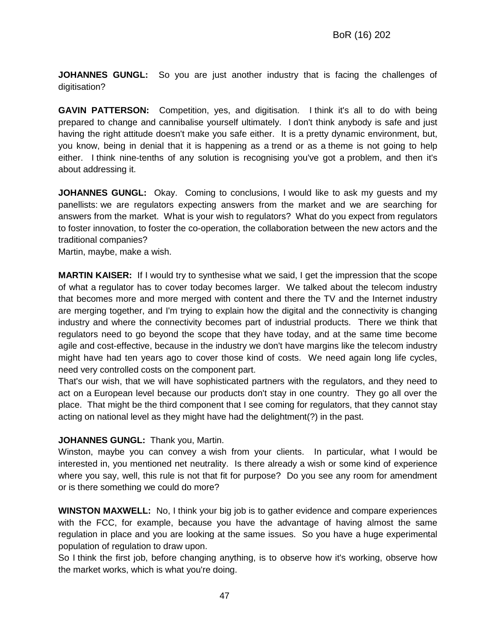**JOHANNES GUNGL:** So you are just another industry that is facing the challenges of digitisation?

**GAVIN PATTERSON:** Competition, yes, and digitisation. I think it's all to do with being prepared to change and cannibalise yourself ultimately. I don't think anybody is safe and just having the right attitude doesn't make you safe either. It is a pretty dynamic environment, but, you know, being in denial that it is happening as a trend or as a theme is not going to help either. I think nine-tenths of any solution is recognising you've got a problem, and then it's about addressing it.

**JOHANNES GUNGL:** Okay. Coming to conclusions, I would like to ask my guests and my panellists: we are regulators expecting answers from the market and we are searching for answers from the market. What is your wish to regulators? What do you expect from regulators to foster innovation, to foster the co-operation, the collaboration between the new actors and the traditional companies?

Martin, maybe, make a wish.

**MARTIN KAISER:** If I would try to synthesise what we said, I get the impression that the scope of what a regulator has to cover today becomes larger. We talked about the telecom industry that becomes more and more merged with content and there the TV and the Internet industry are merging together, and I'm trying to explain how the digital and the connectivity is changing industry and where the connectivity becomes part of industrial products. There we think that regulators need to go beyond the scope that they have today, and at the same time become agile and cost-effective, because in the industry we don't have margins like the telecom industry might have had ten years ago to cover those kind of costs. We need again long life cycles, need very controlled costs on the component part.

That's our wish, that we will have sophisticated partners with the regulators, and they need to act on a European level because our products don't stay in one country. They go all over the place. That might be the third component that I see coming for regulators, that they cannot stay acting on national level as they might have had the delightment(?) in the past.

#### **JOHANNES GUNGL:** Thank you, Martin.

Winston, maybe you can convey a wish from your clients. In particular, what I would be interested in, you mentioned net neutrality. Is there already a wish or some kind of experience where you say, well, this rule is not that fit for purpose? Do you see any room for amendment or is there something we could do more?

**WINSTON MAXWELL:** No, I think your big job is to gather evidence and compare experiences with the FCC, for example, because you have the advantage of having almost the same regulation in place and you are looking at the same issues. So you have a huge experimental population of regulation to draw upon.

So I think the first job, before changing anything, is to observe how it's working, observe how the market works, which is what you're doing.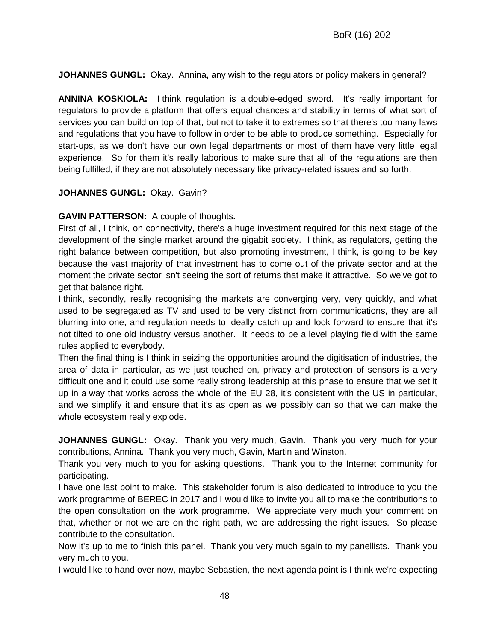**JOHANNES GUNGL:** Okay. Annina, any wish to the regulators or policy makers in general?

**ANNINA KOSKIOLA:** I think regulation is a double-edged sword. It's really important for regulators to provide a platform that offers equal chances and stability in terms of what sort of services you can build on top of that, but not to take it to extremes so that there's too many laws and regulations that you have to follow in order to be able to produce something. Especially for start-ups, as we don't have our own legal departments or most of them have very little legal experience. So for them it's really laborious to make sure that all of the regulations are then being fulfilled, if they are not absolutely necessary like privacy-related issues and so forth.

#### **JOHANNES GUNGL:** Okay. Gavin?

#### **GAVIN PATTERSON:** A couple of thoughts**.**

First of all, I think, on connectivity, there's a huge investment required for this next stage of the development of the single market around the gigabit society. I think, as regulators, getting the right balance between competition, but also promoting investment, I think, is going to be key because the vast majority of that investment has to come out of the private sector and at the moment the private sector isn't seeing the sort of returns that make it attractive. So we've got to get that balance right.

I think, secondly, really recognising the markets are converging very, very quickly, and what used to be segregated as TV and used to be very distinct from communications, they are all blurring into one, and regulation needs to ideally catch up and look forward to ensure that it's not tilted to one old industry versus another. It needs to be a level playing field with the same rules applied to everybody.

Then the final thing is I think in seizing the opportunities around the digitisation of industries, the area of data in particular, as we just touched on, privacy and protection of sensors is a very difficult one and it could use some really strong leadership at this phase to ensure that we set it up in a way that works across the whole of the EU 28, it's consistent with the US in particular, and we simplify it and ensure that it's as open as we possibly can so that we can make the whole ecosystem really explode.

**JOHANNES GUNGL:** Okay. Thank you very much, Gavin. Thank you very much for your contributions, Annina. Thank you very much, Gavin, Martin and Winston.

Thank you very much to you for asking questions. Thank you to the Internet community for participating.

I have one last point to make. This stakeholder forum is also dedicated to introduce to you the work programme of BEREC in 2017 and I would like to invite you all to make the contributions to the open consultation on the work programme. We appreciate very much your comment on that, whether or not we are on the right path, we are addressing the right issues. So please contribute to the consultation.

Now it's up to me to finish this panel. Thank you very much again to my panellists. Thank you very much to you.

I would like to hand over now, maybe Sebastien, the next agenda point is I think we're expecting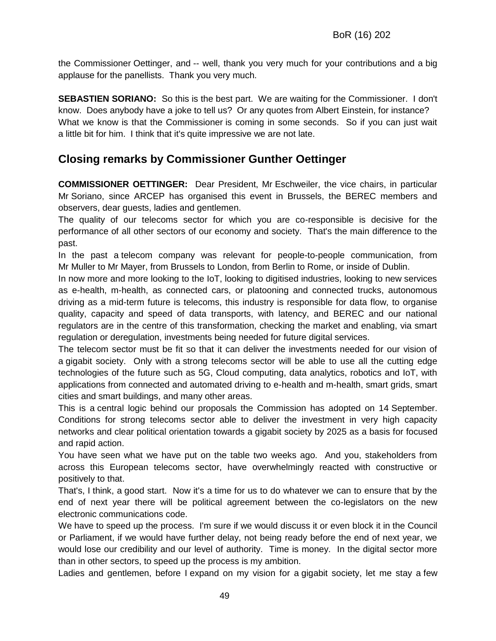the Commissioner Oettinger, and -- well, thank you very much for your contributions and a big applause for the panellists. Thank you very much.

**SEBASTIEN SORIANO:** So this is the best part. We are waiting for the Commissioner. I don't know. Does anybody have a joke to tell us? Or any quotes from Albert Einstein, for instance? What we know is that the Commissioner is coming in some seconds. So if you can just wait a little bit for him. I think that it's quite impressive we are not late.

## **Closing remarks by Commissioner Gunther Oettinger**

**COMMISSIONER OETTINGER:** Dear President, Mr Eschweiler, the vice chairs, in particular Mr Soriano, since ARCEP has organised this event in Brussels, the BEREC members and observers, dear guests, ladies and gentlemen.

The quality of our telecoms sector for which you are co-responsible is decisive for the performance of all other sectors of our economy and society. That's the main difference to the past.

In the past a telecom company was relevant for people-to-people communication, from Mr Muller to Mr Mayer, from Brussels to London, from Berlin to Rome, or inside of Dublin.

In now more and more looking to the IoT, looking to digitised industries, looking to new services as e-health, m-health, as connected cars, or platooning and connected trucks, autonomous driving as a mid-term future is telecoms, this industry is responsible for data flow, to organise quality, capacity and speed of data transports, with latency, and BEREC and our national regulators are in the centre of this transformation, checking the market and enabling, via smart regulation or deregulation, investments being needed for future digital services.

The telecom sector must be fit so that it can deliver the investments needed for our vision of a gigabit society. Only with a strong telecoms sector will be able to use all the cutting edge technologies of the future such as 5G, Cloud computing, data analytics, robotics and IoT, with applications from connected and automated driving to e-health and m-health, smart grids, smart cities and smart buildings, and many other areas.

This is a central logic behind our proposals the Commission has adopted on 14 September. Conditions for strong telecoms sector able to deliver the investment in very high capacity networks and clear political orientation towards a gigabit society by 2025 as a basis for focused and rapid action.

You have seen what we have put on the table two weeks ago. And you, stakeholders from across this European telecoms sector, have overwhelmingly reacted with constructive or positively to that.

That's, I think, a good start. Now it's a time for us to do whatever we can to ensure that by the end of next year there will be political agreement between the co-legislators on the new electronic communications code.

We have to speed up the process. I'm sure if we would discuss it or even block it in the Council or Parliament, if we would have further delay, not being ready before the end of next year, we would lose our credibility and our level of authority. Time is money. In the digital sector more than in other sectors, to speed up the process is my ambition.

Ladies and gentlemen, before I expand on my vision for a gigabit society, let me stay a few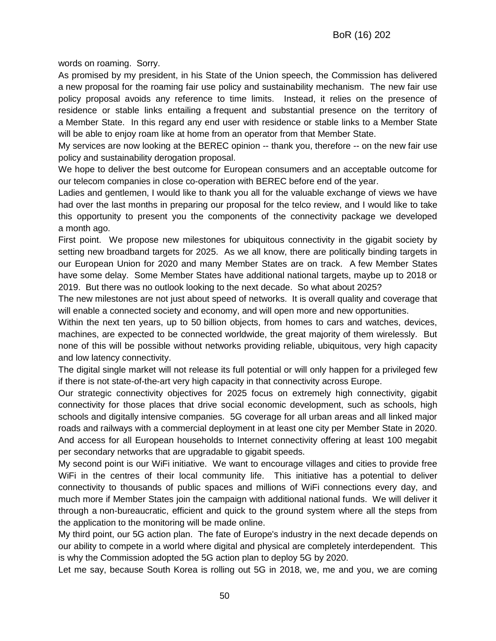words on roaming. Sorry.

As promised by my president, in his State of the Union speech, the Commission has delivered a new proposal for the roaming fair use policy and sustainability mechanism. The new fair use policy proposal avoids any reference to time limits. Instead, it relies on the presence of residence or stable links entailing a frequent and substantial presence on the territory of a Member State. In this regard any end user with residence or stable links to a Member State will be able to enjoy roam like at home from an operator from that Member State.

My services are now looking at the BEREC opinion -- thank you, therefore -- on the new fair use policy and sustainability derogation proposal.

We hope to deliver the best outcome for European consumers and an acceptable outcome for our telecom companies in close co-operation with BEREC before end of the year.

Ladies and gentlemen, I would like to thank you all for the valuable exchange of views we have had over the last months in preparing our proposal for the telco review, and I would like to take this opportunity to present you the components of the connectivity package we developed a month ago.

First point. We propose new milestones for ubiquitous connectivity in the gigabit society by setting new broadband targets for 2025. As we all know, there are politically binding targets in our European Union for 2020 and many Member States are on track. A few Member States have some delay. Some Member States have additional national targets, maybe up to 2018 or 2019. But there was no outlook looking to the next decade. So what about 2025?

The new milestones are not just about speed of networks. It is overall quality and coverage that will enable a connected society and economy, and will open more and new opportunities.

Within the next ten years, up to 50 billion objects, from homes to cars and watches, devices, machines, are expected to be connected worldwide, the great majority of them wirelessly. But none of this will be possible without networks providing reliable, ubiquitous, very high capacity and low latency connectivity.

The digital single market will not release its full potential or will only happen for a privileged few if there is not state-of-the-art very high capacity in that connectivity across Europe.

Our strategic connectivity objectives for 2025 focus on extremely high connectivity, gigabit connectivity for those places that drive social economic development, such as schools, high schools and digitally intensive companies. 5G coverage for all urban areas and all linked major roads and railways with a commercial deployment in at least one city per Member State in 2020. And access for all European households to Internet connectivity offering at least 100 megabit per secondary networks that are upgradable to gigabit speeds.

My second point is our WiFi initiative. We want to encourage villages and cities to provide free WiFi in the centres of their local community life. This initiative has a potential to deliver connectivity to thousands of public spaces and millions of WiFi connections every day, and much more if Member States join the campaign with additional national funds. We will deliver it through a non-bureaucratic, efficient and quick to the ground system where all the steps from the application to the monitoring will be made online.

My third point, our 5G action plan. The fate of Europe's industry in the next decade depends on our ability to compete in a world where digital and physical are completely interdependent. This is why the Commission adopted the 5G action plan to deploy 5G by 2020.

Let me say, because South Korea is rolling out 5G in 2018, we, me and you, we are coming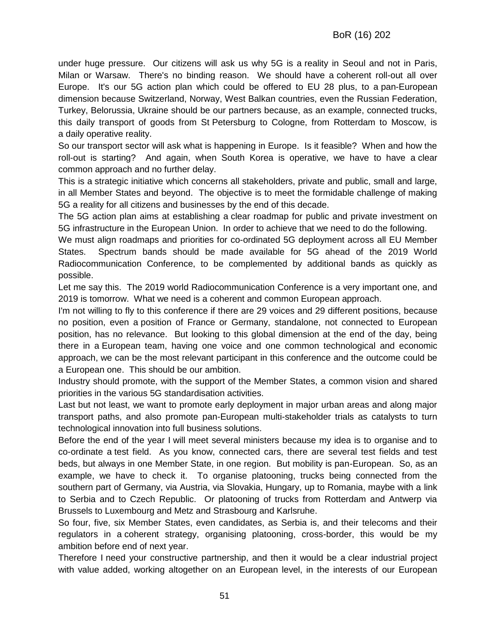under huge pressure. Our citizens will ask us why 5G is a reality in Seoul and not in Paris, Milan or Warsaw. There's no binding reason. We should have a coherent roll-out all over Europe. It's our 5G action plan which could be offered to EU 28 plus, to a pan-European dimension because Switzerland, Norway, West Balkan countries, even the Russian Federation, Turkey, Belorussia, Ukraine should be our partners because, as an example, connected trucks, this daily transport of goods from St Petersburg to Cologne, from Rotterdam to Moscow, is a daily operative reality.

So our transport sector will ask what is happening in Europe. Is it feasible? When and how the roll-out is starting? And again, when South Korea is operative, we have to have a clear common approach and no further delay.

This is a strategic initiative which concerns all stakeholders, private and public, small and large, in all Member States and beyond. The objective is to meet the formidable challenge of making 5G a reality for all citizens and businesses by the end of this decade.

The 5G action plan aims at establishing a clear roadmap for public and private investment on 5G infrastructure in the European Union. In order to achieve that we need to do the following.

We must align roadmaps and priorities for co-ordinated 5G deployment across all EU Member States. Spectrum bands should be made available for 5G ahead of the 2019 World Radiocommunication Conference, to be complemented by additional bands as quickly as possible.

Let me say this. The 2019 world Radiocommunication Conference is a very important one, and 2019 is tomorrow. What we need is a coherent and common European approach.

I'm not willing to fly to this conference if there are 29 voices and 29 different positions, because no position, even a position of France or Germany, standalone, not connected to European position, has no relevance. But looking to this global dimension at the end of the day, being there in a European team, having one voice and one common technological and economic approach, we can be the most relevant participant in this conference and the outcome could be a European one. This should be our ambition.

Industry should promote, with the support of the Member States, a common vision and shared priorities in the various 5G standardisation activities.

Last but not least, we want to promote early deployment in major urban areas and along major transport paths, and also promote pan-European multi-stakeholder trials as catalysts to turn technological innovation into full business solutions.

Before the end of the year I will meet several ministers because my idea is to organise and to co-ordinate a test field. As you know, connected cars, there are several test fields and test beds, but always in one Member State, in one region. But mobility is pan-European. So, as an example, we have to check it. To organise platooning, trucks being connected from the southern part of Germany, via Austria, via Slovakia, Hungary, up to Romania, maybe with a link to Serbia and to Czech Republic. Or platooning of trucks from Rotterdam and Antwerp via Brussels to Luxembourg and Metz and Strasbourg and Karlsruhe.

So four, five, six Member States, even candidates, as Serbia is, and their telecoms and their regulators in a coherent strategy, organising platooning, cross-border, this would be my ambition before end of next year.

Therefore I need your constructive partnership, and then it would be a clear industrial project with value added, working altogether on an European level, in the interests of our European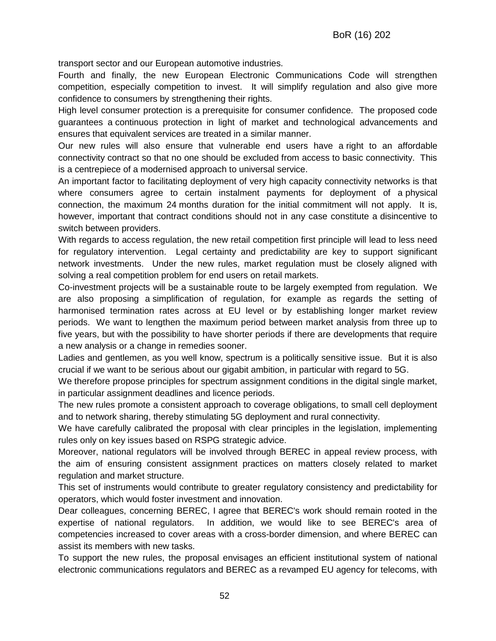transport sector and our European automotive industries.

Fourth and finally, the new European Electronic Communications Code will strengthen competition, especially competition to invest. It will simplify regulation and also give more confidence to consumers by strengthening their rights.

High level consumer protection is a prerequisite for consumer confidence. The proposed code guarantees a continuous protection in light of market and technological advancements and ensures that equivalent services are treated in a similar manner.

Our new rules will also ensure that vulnerable end users have a right to an affordable connectivity contract so that no one should be excluded from access to basic connectivity. This is a centrepiece of a modernised approach to universal service.

An important factor to facilitating deployment of very high capacity connectivity networks is that where consumers agree to certain instalment payments for deployment of a physical connection, the maximum 24 months duration for the initial commitment will not apply. It is, however, important that contract conditions should not in any case constitute a disincentive to switch between providers.

With regards to access regulation, the new retail competition first principle will lead to less need for regulatory intervention. Legal certainty and predictability are key to support significant network investments. Under the new rules, market regulation must be closely aligned with solving a real competition problem for end users on retail markets.

Co-investment projects will be a sustainable route to be largely exempted from regulation. We are also proposing a simplification of regulation, for example as regards the setting of harmonised termination rates across at EU level or by establishing longer market review periods. We want to lengthen the maximum period between market analysis from three up to five years, but with the possibility to have shorter periods if there are developments that require a new analysis or a change in remedies sooner.

Ladies and gentlemen, as you well know, spectrum is a politically sensitive issue. But it is also crucial if we want to be serious about our gigabit ambition, in particular with regard to 5G.

We therefore propose principles for spectrum assignment conditions in the digital single market, in particular assignment deadlines and licence periods.

The new rules promote a consistent approach to coverage obligations, to small cell deployment and to network sharing, thereby stimulating 5G deployment and rural connectivity.

We have carefully calibrated the proposal with clear principles in the legislation, implementing rules only on key issues based on RSPG strategic advice.

Moreover, national regulators will be involved through BEREC in appeal review process, with the aim of ensuring consistent assignment practices on matters closely related to market regulation and market structure.

This set of instruments would contribute to greater regulatory consistency and predictability for operators, which would foster investment and innovation.

Dear colleagues, concerning BEREC, I agree that BEREC's work should remain rooted in the expertise of national regulators. In addition, we would like to see BEREC's area of competencies increased to cover areas with a cross-border dimension, and where BEREC can assist its members with new tasks.

To support the new rules, the proposal envisages an efficient institutional system of national electronic communications regulators and BEREC as a revamped EU agency for telecoms, with